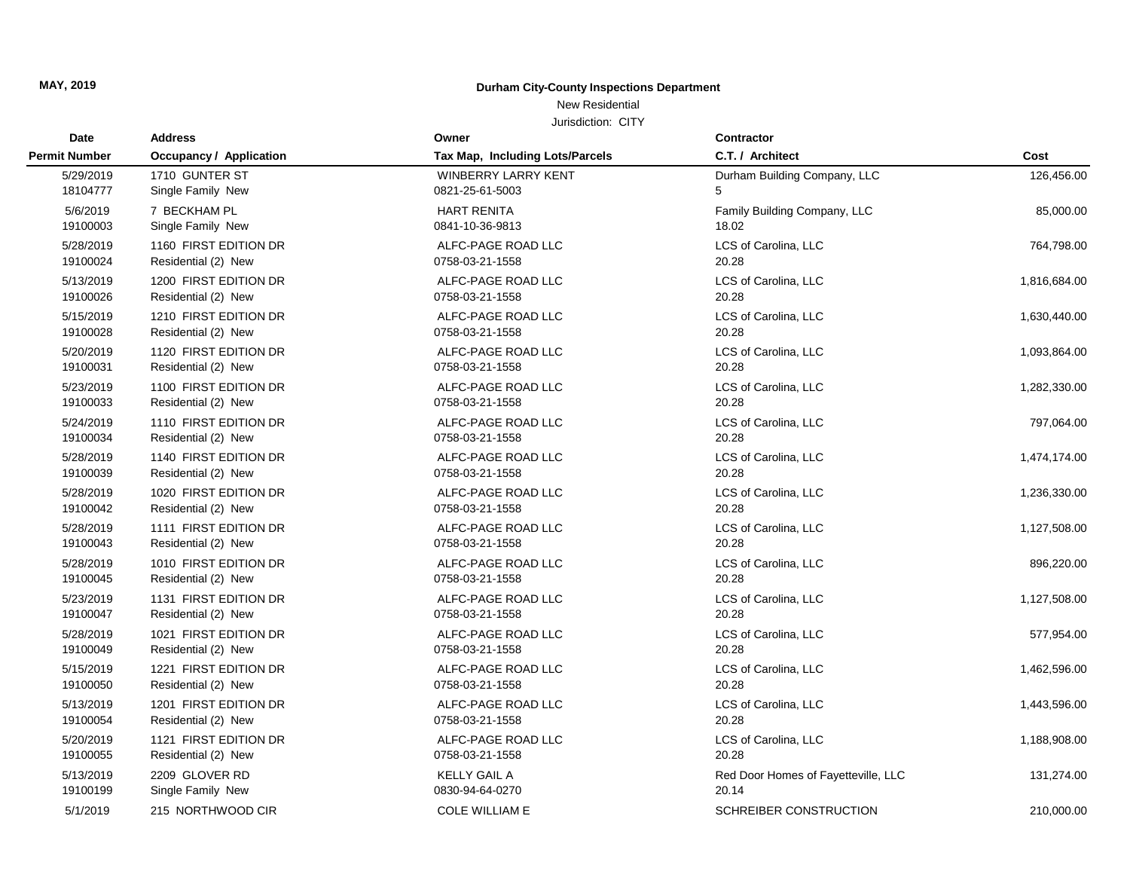## New Residential

| Date                 | <b>Address</b>                 | Owner                           | <b>Contractor</b>                   |              |
|----------------------|--------------------------------|---------------------------------|-------------------------------------|--------------|
| <b>Permit Number</b> | <b>Occupancy / Application</b> | Tax Map, Including Lots/Parcels | C.T. / Architect                    | Cost         |
| 5/29/2019            | 1710 GUNTER ST                 | WINBERRY LARRY KENT             | Durham Building Company, LLC        | 126,456.00   |
| 18104777             | Single Family New              | 0821-25-61-5003                 | 5                                   |              |
| 5/6/2019             | 7 BECKHAM PL                   | <b>HART RENITA</b>              | Family Building Company, LLC        | 85,000.00    |
| 19100003             | Single Family New              | 0841-10-36-9813                 | 18.02                               |              |
| 5/28/2019            | 1160 FIRST EDITION DR          | ALFC-PAGE ROAD LLC              | LCS of Carolina, LLC                | 764,798.00   |
| 19100024             | Residential (2) New            | 0758-03-21-1558                 | 20.28                               |              |
| 5/13/2019            | 1200 FIRST EDITION DR          | ALFC-PAGE ROAD LLC              | LCS of Carolina, LLC                | 1,816,684.00 |
| 19100026             | Residential (2) New            | 0758-03-21-1558                 | 20.28                               |              |
| 5/15/2019            | 1210 FIRST EDITION DR          | ALFC-PAGE ROAD LLC              | LCS of Carolina, LLC                | 1,630,440.00 |
| 19100028             | Residential (2) New            | 0758-03-21-1558                 | 20.28                               |              |
| 5/20/2019            | 1120 FIRST EDITION DR          | ALFC-PAGE ROAD LLC              | LCS of Carolina, LLC                | 1,093,864.00 |
| 19100031             | Residential (2) New            | 0758-03-21-1558                 | 20.28                               |              |
| 5/23/2019            | 1100 FIRST EDITION DR          | ALFC-PAGE ROAD LLC              | LCS of Carolina, LLC                | 1,282,330.00 |
| 19100033             | Residential (2) New            | 0758-03-21-1558                 | 20.28                               |              |
| 5/24/2019            | 1110 FIRST EDITION DR          | ALFC-PAGE ROAD LLC              | LCS of Carolina, LLC                | 797,064.00   |
| 19100034             | Residential (2) New            | 0758-03-21-1558                 | 20.28                               |              |
| 5/28/2019            | 1140 FIRST EDITION DR          | ALFC-PAGE ROAD LLC              | LCS of Carolina, LLC                | 1,474,174.00 |
| 19100039             | Residential (2) New            | 0758-03-21-1558                 | 20.28                               |              |
| 5/28/2019            | 1020 FIRST EDITION DR          | ALFC-PAGE ROAD LLC              | LCS of Carolina, LLC                | 1,236,330.00 |
| 19100042             | Residential (2) New            | 0758-03-21-1558                 | 20.28                               |              |
| 5/28/2019            | 1111 FIRST EDITION DR          | ALFC-PAGE ROAD LLC              | LCS of Carolina, LLC                | 1,127,508.00 |
| 19100043             | Residential (2) New            | 0758-03-21-1558                 | 20.28                               |              |
| 5/28/2019            | 1010 FIRST EDITION DR          | ALFC-PAGE ROAD LLC              | LCS of Carolina, LLC                | 896,220.00   |
| 19100045             | Residential (2) New            | 0758-03-21-1558                 | 20.28                               |              |
| 5/23/2019            | 1131 FIRST EDITION DR          | ALFC-PAGE ROAD LLC              | LCS of Carolina, LLC                | 1,127,508.00 |
| 19100047             | Residential (2) New            | 0758-03-21-1558                 | 20.28                               |              |
| 5/28/2019            | 1021 FIRST EDITION DR          | ALFC-PAGE ROAD LLC              | LCS of Carolina, LLC                | 577,954.00   |
| 19100049             | Residential (2) New            | 0758-03-21-1558                 | 20.28                               |              |
| 5/15/2019            | 1221 FIRST EDITION DR          | ALFC-PAGE ROAD LLC              | LCS of Carolina, LLC                | 1,462,596.00 |
| 19100050             | Residential (2) New            | 0758-03-21-1558                 | 20.28                               |              |
| 5/13/2019            | 1201 FIRST EDITION DR          | ALFC-PAGE ROAD LLC              | LCS of Carolina, LLC                | 1,443,596.00 |
| 19100054             | Residential (2) New            | 0758-03-21-1558                 | 20.28                               |              |
| 5/20/2019            | 1121 FIRST EDITION DR          | ALFC-PAGE ROAD LLC              | LCS of Carolina, LLC                | 1,188,908.00 |
| 19100055             | Residential (2) New            | 0758-03-21-1558                 | 20.28                               |              |
| 5/13/2019            | 2209 GLOVER RD                 | <b>KELLY GAIL A</b>             | Red Door Homes of Fayetteville, LLC | 131,274.00   |
| 19100199             | Single Family New              | 0830-94-64-0270                 | 20.14                               |              |
| 5/1/2019             | 215 NORTHWOOD CIR              | <b>COLE WILLIAM E</b>           | SCHREIBER CONSTRUCTION              | 210,000.00   |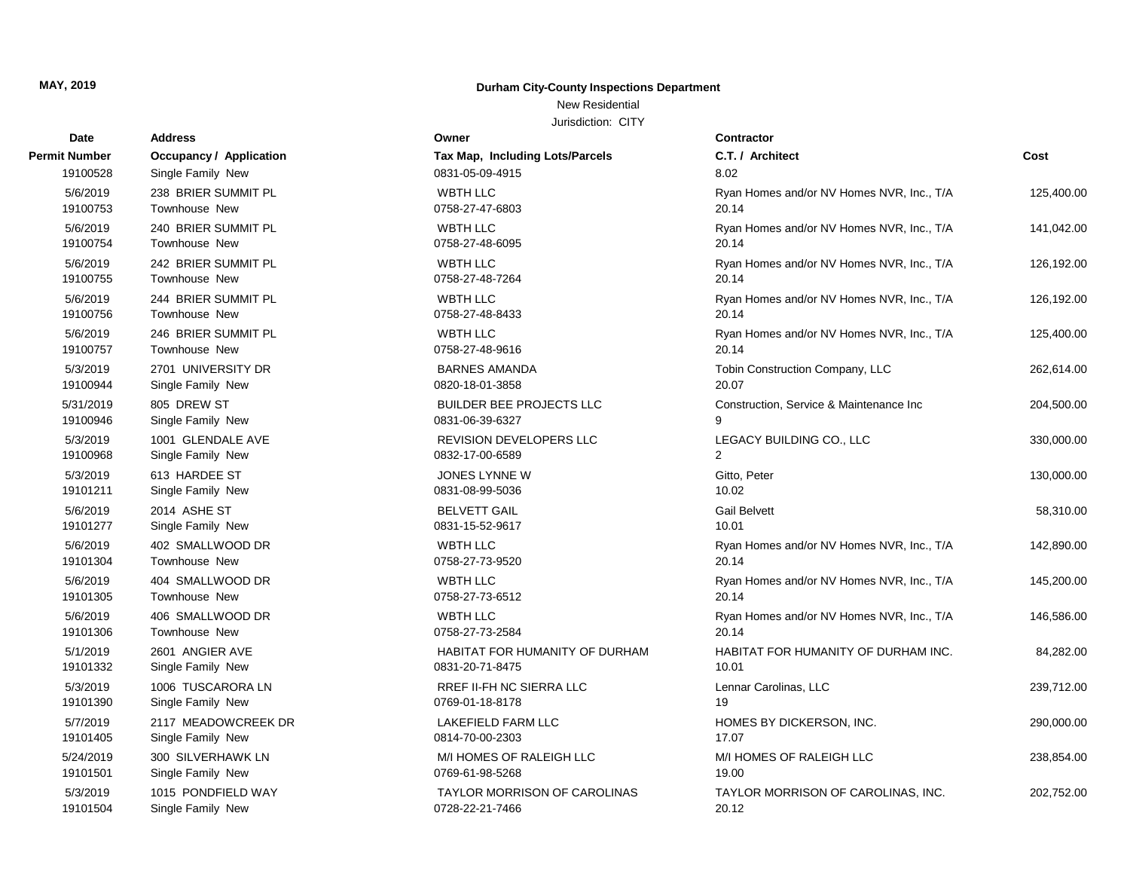New Residential

| Date          | <b>Address</b>                 | Owner                                  | Contractor                                |            |
|---------------|--------------------------------|----------------------------------------|-------------------------------------------|------------|
| <b>Number</b> | <b>Occupancy / Application</b> | <b>Tax Map, Including Lots/Parcels</b> | C.T. / Architect                          | Cost       |
| 19100528      | Single Family New              | 0831-05-09-4915                        | 8.02                                      |            |
| 5/6/2019      | 238 BRIER SUMMIT PL            | <b>WBTH LLC</b>                        | Ryan Homes and/or NV Homes NVR, Inc., T/A | 125,400.00 |
| 19100753      | Townhouse New                  | 0758-27-47-6803                        | 20.14                                     |            |
| 5/6/2019      | 240 BRIER SUMMIT PL            | <b>WBTH LLC</b>                        | Ryan Homes and/or NV Homes NVR, Inc., T/A | 141,042.00 |
| 19100754      | Townhouse New                  | 0758-27-48-6095                        | 20.14                                     |            |
| 5/6/2019      | 242 BRIER SUMMIT PL            | <b>WBTH LLC</b>                        | Ryan Homes and/or NV Homes NVR, Inc., T/A | 126,192.00 |
| 19100755      | <b>Townhouse New</b>           | 0758-27-48-7264                        | 20.14                                     |            |
| 5/6/2019      | 244 BRIER SUMMIT PL            | <b>WBTH LLC</b>                        | Ryan Homes and/or NV Homes NVR, Inc., T/A | 126,192.00 |
| 19100756      | Townhouse New                  | 0758-27-48-8433                        | 20.14                                     |            |
| 5/6/2019      | 246 BRIER SUMMIT PL            | <b>WBTH LLC</b>                        | Ryan Homes and/or NV Homes NVR, Inc., T/A | 125,400.00 |
| 19100757      | <b>Townhouse New</b>           | 0758-27-48-9616                        | 20.14                                     |            |
| 5/3/2019      | 2701 UNIVERSITY DR             | <b>BARNES AMANDA</b>                   | Tobin Construction Company, LLC           | 262,614.00 |
| 19100944      | Single Family New              | 0820-18-01-3858                        | 20.07                                     |            |
| 5/31/2019     | 805 DREW ST                    | <b>BUILDER BEE PROJECTS LLC</b>        | Construction, Service & Maintenance Inc.  | 204,500.00 |
| 19100946      | Single Family New              | 0831-06-39-6327                        | 9                                         |            |
| 5/3/2019      | 1001 GLENDALE AVE              | REVISION DEVELOPERS LLC                | LEGACY BUILDING CO., LLC                  | 330,000.00 |
| 19100968      | Single Family New              | 0832-17-00-6589                        | 2                                         |            |
| 5/3/2019      | 613 HARDEE ST                  | JONES LYNNE W                          | Gitto, Peter                              | 130,000.00 |
| 19101211      | Single Family New              | 0831-08-99-5036                        | 10.02                                     |            |
| 5/6/2019      | 2014 ASHE ST                   | <b>BELVETT GAIL</b>                    | <b>Gail Belvett</b>                       | 58,310.00  |
| 19101277      | Single Family New              | 0831-15-52-9617                        | 10.01                                     |            |
| 5/6/2019      | 402 SMALLWOOD DR               | <b>WBTH LLC</b>                        | Ryan Homes and/or NV Homes NVR, Inc., T/A | 142,890.00 |
| 19101304      | Townhouse New                  | 0758-27-73-9520                        | 20.14                                     |            |
| 5/6/2019      | 404 SMALLWOOD DR               | <b>WBTH LLC</b>                        | Ryan Homes and/or NV Homes NVR, Inc., T/A | 145,200.00 |
| 19101305      | Townhouse New                  | 0758-27-73-6512                        | 20.14                                     |            |
| 5/6/2019      | 406 SMALLWOOD DR               | <b>WBTH LLC</b>                        | Ryan Homes and/or NV Homes NVR, Inc., T/A | 146,586.00 |
| 19101306      | <b>Townhouse New</b>           | 0758-27-73-2584                        | 20.14                                     |            |
| 5/1/2019      | 2601 ANGIER AVE                | HABITAT FOR HUMANITY OF DURHAM         | HABITAT FOR HUMANITY OF DURHAM INC.       | 84,282.00  |
| 19101332      | Single Family New              | 0831-20-71-8475                        | 10.01                                     |            |
| 5/3/2019      | 1006 TUSCARORA LN              | <b>RREF II-FH NC SIERRA LLC</b>        | Lennar Carolinas, LLC                     | 239,712.00 |
| 19101390      | Single Family New              | 0769-01-18-8178                        | 19                                        |            |
| 5/7/2019      | 2117 MEADOWCREEK DR            | <b>LAKEFIELD FARM LLC</b>              | HOMES BY DICKERSON, INC.                  | 290,000.00 |
| 19101405      | Single Family New              | 0814-70-00-2303                        | 17.07                                     |            |
| 5/24/2019     | 300 SILVERHAWK LN              | M/I HOMES OF RALEIGH LLC               | M/I HOMES OF RALEIGH LLC                  | 238,854.00 |
| 19101501      | Single Family New              | 0769-61-98-5268                        | 19.00                                     |            |
| 5/3/2019      | 1015 PONDFIELD WAY             | <b>TAYLOR MORRISON OF CAROLINAS</b>    | TAYLOR MORRISON OF CAROLINAS, INC.        | 202,752.00 |
| 19101504      | Single Family New              | 0728-22-21-7466                        | 20.12                                     |            |

| Permit Number        | <b>Occupancy / Application</b>       | Tax Map, Including Lots/Parcels         |
|----------------------|--------------------------------------|-----------------------------------------|
| 19100528             | Single Family New                    | 0831-05-09-4915                         |
| 5/6/2019             | 238 BRIER SUMMIT PL                  | <b>WBTH LLC</b>                         |
| 19100753             | Townhouse New                        | 0758-27-47-6803                         |
| 5/6/2019             | 240 BRIER SUMMIT PL                  | <b>WBTH LLC</b>                         |
| 19100754             | Townhouse New                        | 0758-27-48-6095                         |
| 5/6/2019             | 242 BRIER SUMMIT PL                  | <b>WBTH LLC</b>                         |
| 19100755             | Townhouse New                        | 0758-27-48-7264                         |
| 5/6/2019             | 244 BRIER SUMMIT PL                  | <b>WBTH LLC</b>                         |
| 19100756             | Townhouse New                        | 0758-27-48-8433                         |
| 5/6/2019<br>19100757 | 246 BRIER SUMMIT PL<br>Townhouse New | <b>WBTH LLC</b><br>0758-27-48-9616      |
|                      | 2701 UNIVERSITY DR                   |                                         |
| 5/3/2019<br>19100944 | Single Family New                    | <b>BARNES AMANDA</b><br>0820-18-01-3858 |
| 5/31/2019            | 805 DREW ST                          | <b>BUILDER BEE PROJECTS LLC</b>         |
| 19100946             | Single Family New                    | 0831-06-39-6327                         |
| 5/3/2019             | 1001 GLENDALE AVE                    | <b>REVISION DEVELOPERS LLC</b>          |
| 19100968             | Single Family New                    | 0832-17-00-6589                         |
| 5/3/2019             | 613 HARDEE ST                        | JONES LYNNE W                           |
| 19101211             | Single Family New                    | 0831-08-99-5036                         |
| 5/6/2019             | 2014 ASHE ST                         | <b>BELVETT GAIL</b>                     |
| 19101277             | Single Family New                    | 0831-15-52-9617                         |
| 5/6/2019             | 402 SMALLWOOD DR                     | <b>WBTH LLC</b>                         |
| 19101304             | Townhouse New                        | 0758-27-73-9520                         |
| 5/6/2019             | 404 SMALLWOOD DR                     | <b>WBTH LLC</b>                         |
| 19101305             | Townhouse New                        | 0758-27-73-6512                         |
| 5/6/2019<br>19101306 | 406 SMALLWOOD DR<br>Townhouse New    | <b>WBTH LLC</b><br>0758-27-73-2584      |
|                      | 2601 ANGIER AVE                      | HABITAT FOR HUMANITY OF DU              |
| 5/1/2019<br>19101332 | Single Family New                    | 0831-20-71-8475                         |
| 5/3/2019             | 1006 TUSCARORA LN                    | RREF II-FH NC SIERRA LLC                |
| 19101390             | Single Family New                    | 0769-01-18-8178                         |
| 5/7/2019             | 2117 MEADOWCREEK DR                  | <b>LAKEFIELD FARM LLC</b>               |
| 19101405             | Single Family New                    | 0814-70-00-2303                         |
| 5/24/2019            | 300 SILVERHAWK LN                    | M/I HOMES OF RALEIGH LLC                |
| 19101501             | Single Family New                    | 0769-61-98-5268                         |
| 5/3/2019             | 1015 PONDFIELD WAY                   | <b>TAYLOR MORRISON OF CAROL</b>         |
| 19101504             | Single Family New                    | 0728-22-21-7466                         |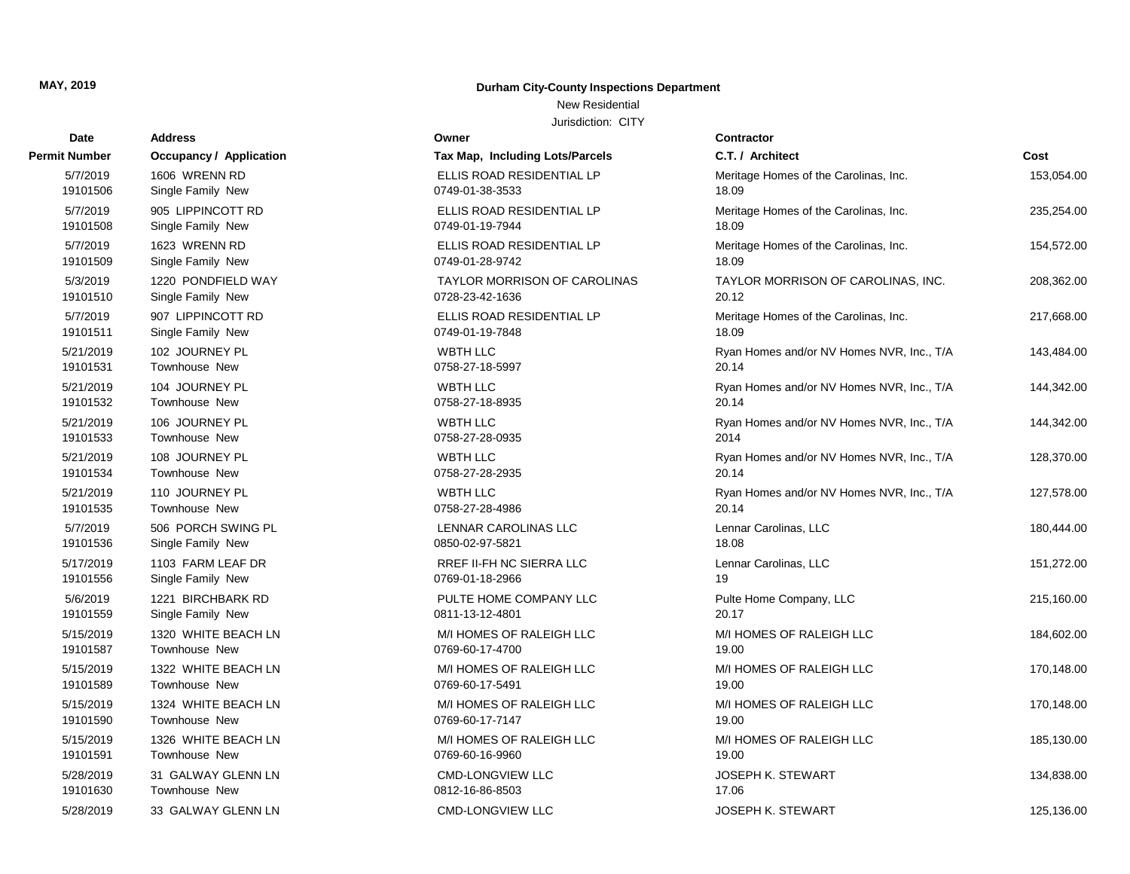# **Date Contractor Address Owner Permit Number Occupancy / Application** 19101630 Townhouse New 5/28/2019 33 GALWAY GLENN LN 19101591 Townhouse New 5/28/2019 31 GALWAY GLENN LN 19101590 Townhouse New 5/15/2019 1326 WHITE BEACH LN 19101589 Townhouse New 5/15/2019 1324 WHITE BEACH LN 19101587 Townhouse New 5/15/2019 1322 WHITE BEACH LN 19101559 Single Family New 5/15/2019 1320 WHITE BEACH LN 19101556 Single Family New 5/6/2019 1221 BIRCHBARK RD 19101536 Single Family New 5/17/2019 1103 FARM LEAF DR 19101535 Townhouse New 5/7/2019 506 PORCH SWING PL 19101534 Townhouse New 19101533 Townhouse New 19101532 Townhouse New 19101531 Townhouse New 19101511 Single Family New 19101510 Single Family New 5/7/2019 907 LIPPINCOTT RD 19101509 Single Family New 5/3/2019 1220 PONDFIELD WAY 19101508 Single Family New 19101506 Single Family New

#### **MAY, 2019 Durham City-County Inspections Department**

New Residential

| Tax Map, Including Lots/Parcels                        |
|--------------------------------------------------------|
| ELLIS ROAD RESIDENTIAL LP<br>0749-01-38-3533           |
| ELLIS ROAD RESIDENTIAL LP<br>0749-01-19-7944           |
| ELLIS ROAD RESIDENTIAL LP<br>0749-01-28-9742           |
| <b>TAYLOR MORRISON OF CAROLINAS</b><br>0728-23-42-1636 |
| ELLIS ROAD RESIDENTIAL LP<br>0749-01-19-7848           |
| <b>WBTH LLC</b><br>0758-27-18-5997                     |
| <b>WBTH LLC</b><br>0758-27-18-8935                     |
| <b>WBTH LLC</b><br>0758-27-28-0935                     |
| <b>WBTH LLC</b><br>0758-27-28-2935                     |
| <b>WBTH LLC</b><br>0758-27-28-4986                     |
| <b>LENNAR CAROLINAS LLC</b><br>0850-02-97-5821         |
| <b>RREF II-FH NC SIERRA LLC</b><br>0769-01-18-2966     |
| PULTE HOME COMPANY LLC<br>0811-13-12-4801              |
| M/I HOMES OF RALEIGH LLC<br>0769-60-17-4700            |
| M/I HOMES OF RALEIGH LLC<br>0769-60-17-5491            |
| M/I HOMES OF RALEIGH LLC<br>0769-60-17-7147            |
| M/I HOMES OF RALEIGH LLC<br>0769-60-16-9960            |
| <b>CMD-LONGVIEW LLC</b><br>0812-16-86-8503             |
| <b>CMD-LONGVIEW LLC</b>                                |

| t Number  | <b>Occupancy / Application</b> | Tax Map, Including Lots/Parcels | C.T. / Architect                          | Cost       |
|-----------|--------------------------------|---------------------------------|-------------------------------------------|------------|
| 5/7/2019  | 1606 WRENN RD                  | ELLIS ROAD RESIDENTIAL LP       | Meritage Homes of the Carolinas, Inc.     | 153,054.00 |
| 19101506  | Single Family New              | 0749-01-38-3533                 | 18.09                                     |            |
| 5/7/2019  | 905 LIPPINCOTT RD              | ELLIS ROAD RESIDENTIAL LP       | Meritage Homes of the Carolinas, Inc.     | 235,254.00 |
| 19101508  | Single Family New              | 0749-01-19-7944                 | 18.09                                     |            |
| 5/7/2019  | 1623 WRENN RD                  | ELLIS ROAD RESIDENTIAL LP       | Meritage Homes of the Carolinas, Inc.     | 154,572.00 |
| 19101509  | Single Family New              | 0749-01-28-9742                 | 18.09                                     |            |
| 5/3/2019  | 1220 PONDFIELD WAY             | TAYLOR MORRISON OF CAROLINAS    | TAYLOR MORRISON OF CAROLINAS, INC.        | 208,362.00 |
| 19101510  | Single Family New              | 0728-23-42-1636                 | 20.12                                     |            |
| 5/7/2019  | 907 LIPPINCOTT RD              | ELLIS ROAD RESIDENTIAL LP       | Meritage Homes of the Carolinas, Inc.     | 217,668.00 |
| 19101511  | Single Family New              | 0749-01-19-7848                 | 18.09                                     |            |
| 5/21/2019 | 102 JOURNEY PL                 | <b>WBTH LLC</b>                 | Ryan Homes and/or NV Homes NVR, Inc., T/A | 143,484.00 |
| 19101531  | <b>Townhouse New</b>           | 0758-27-18-5997                 | 20.14                                     |            |
| 5/21/2019 | 104 JOURNEY PL                 | <b>WBTH LLC</b>                 | Ryan Homes and/or NV Homes NVR, Inc., T/A | 144,342.00 |
| 19101532  | Townhouse New                  | 0758-27-18-8935                 | 20.14                                     |            |
| 5/21/2019 | 106 JOURNEY PL                 | <b>WBTH LLC</b>                 | Ryan Homes and/or NV Homes NVR, Inc., T/A | 144,342.00 |
| 19101533  | Townhouse New                  | 0758-27-28-0935                 | 2014                                      |            |
| 5/21/2019 | 108 JOURNEY PL                 | <b>WBTH LLC</b>                 | Ryan Homes and/or NV Homes NVR, Inc., T/A | 128,370.00 |
| 19101534  | Townhouse New                  | 0758-27-28-2935                 | 20.14                                     |            |
| 5/21/2019 | 110 JOURNEY PL                 | <b>WBTH LLC</b>                 | Ryan Homes and/or NV Homes NVR, Inc., T/A | 127,578.00 |
| 19101535  | Townhouse New                  | 0758-27-28-4986                 | 20.14                                     |            |
| 5/7/2019  | 506 PORCH SWING PL             | LENNAR CAROLINAS LLC            | Lennar Carolinas, LLC                     | 180,444.00 |
| 19101536  | Single Family New              | 0850-02-97-5821                 | 18.08                                     |            |
| 5/17/2019 | 1103 FARM LEAF DR              | RREF II-FH NC SIERRA LLC        | Lennar Carolinas, LLC                     | 151,272.00 |
| 19101556  | Single Family New              | 0769-01-18-2966                 | 19                                        |            |
| 5/6/2019  | 1221 BIRCHBARK RD              | PULTE HOME COMPANY LLC          | Pulte Home Company, LLC                   | 215,160.00 |
| 19101559  | Single Family New              | 0811-13-12-4801                 | 20.17                                     |            |
| 5/15/2019 | 1320 WHITE BEACH LN            | M/I HOMES OF RALEIGH LLC        | M/I HOMES OF RALEIGH LLC                  | 184,602.00 |
| 19101587  | Townhouse New                  | 0769-60-17-4700                 | 19.00                                     |            |
| 5/15/2019 | 1322 WHITE BEACH LN            | M/I HOMES OF RALEIGH LLC        | M/I HOMES OF RALEIGH LLC                  | 170,148.00 |
| 19101589  | Townhouse New                  | 0769-60-17-5491                 | 19.00                                     |            |
| 5/15/2019 | 1324 WHITE BEACH LN            | M/I HOMES OF RALEIGH LLC        | M/I HOMES OF RALEIGH LLC                  | 170,148.00 |
| 19101590  | <b>Townhouse New</b>           | 0769-60-17-7147                 | 19.00                                     |            |
| 5/15/2019 | 1326 WHITE BEACH LN            | M/I HOMES OF RALEIGH LLC        | M/I HOMES OF RALEIGH LLC                  | 185,130.00 |
| 19101591  | Townhouse New                  | 0769-60-16-9960                 | 19.00                                     |            |
| 5/28/2019 | 31 GALWAY GLENN LN             | <b>CMD-LONGVIEW LLC</b>         | <b>JOSEPH K. STEWART</b>                  | 134,838.00 |
| 19101630  | Townhouse New                  | 0812-16-86-8503                 | 17.06                                     |            |
| 5/28/2019 | 33 GALWAY GLENN LN             | <b>CMD-LONGVIEW LLC</b>         | <b>JOSEPH K. STEWART</b>                  | 125,136.00 |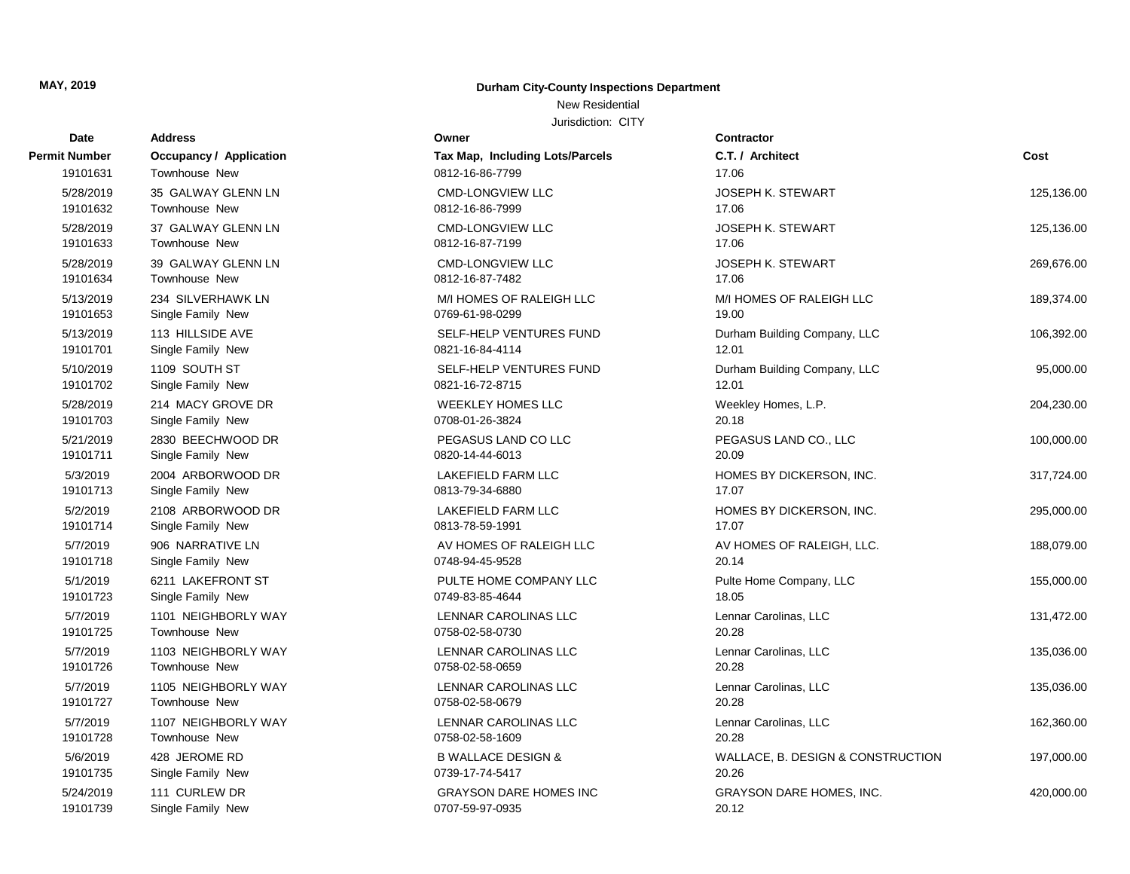#### New Residential

| <b>Date</b>          | <b>Address</b>                 | Owner                           | Contractor                        |            |
|----------------------|--------------------------------|---------------------------------|-----------------------------------|------------|
| <b>Permit Number</b> | <b>Occupancy / Application</b> | Tax Map, Including Lots/Parcels | C.T. / Architect                  | Cost       |
| 19101631             | Townhouse New                  | 0812-16-86-7799                 | 17.06                             |            |
| 5/28/2019            | 35 GALWAY GLENN LN             | <b>CMD-LONGVIEW LLC</b>         | <b>JOSEPH K. STEWART</b>          | 125,136.00 |
| 19101632             | Townhouse New                  | 0812-16-86-7999                 | 17.06                             |            |
| 5/28/2019            | 37 GALWAY GLENN LN             | <b>CMD-LONGVIEW LLC</b>         | <b>JOSEPH K. STEWART</b>          | 125,136.00 |
| 19101633             | Townhouse New                  | 0812-16-87-7199                 | 17.06                             |            |
| 5/28/2019            | 39 GALWAY GLENN LN             | <b>CMD-LONGVIEW LLC</b>         | <b>JOSEPH K. STEWART</b>          | 269,676.00 |
| 19101634             | Townhouse New                  | 0812-16-87-7482                 | 17.06                             |            |
| 5/13/2019            | 234 SILVERHAWK LN              | M/I HOMES OF RALEIGH LLC        | M/I HOMES OF RALEIGH LLC          | 189,374.00 |
| 19101653             | Single Family New              | 0769-61-98-0299                 | 19.00                             |            |
| 5/13/2019            | 113 HILLSIDE AVE               | SELF-HELP VENTURES FUND         | Durham Building Company, LLC      | 106,392.00 |
| 19101701             | Single Family New              | 0821-16-84-4114                 | 12.01                             |            |
| 5/10/2019            | 1109 SOUTH ST                  | SELF-HELP VENTURES FUND         | Durham Building Company, LLC      | 95,000.00  |
| 19101702             | Single Family New              | 0821-16-72-8715                 | 12.01                             |            |
| 5/28/2019            | 214 MACY GROVE DR              | <b>WEEKLEY HOMES LLC</b>        | Weekley Homes, L.P.               | 204,230.00 |
| 19101703             | Single Family New              | 0708-01-26-3824                 | 20.18                             |            |
| 5/21/2019            | 2830 BEECHWOOD DR              | PEGASUS LAND CO LLC             | PEGASUS LAND CO., LLC             | 100,000.00 |
| 19101711             | Single Family New              | 0820-14-44-6013                 | 20.09                             |            |
| 5/3/2019             | 2004 ARBORWOOD DR              | LAKEFIELD FARM LLC              | HOMES BY DICKERSON, INC.          | 317,724.00 |
| 19101713             | Single Family New              | 0813-79-34-6880                 | 17.07                             |            |
| 5/2/2019             | 2108 ARBORWOOD DR              | LAKEFIELD FARM LLC              | HOMES BY DICKERSON, INC.          | 295,000.00 |
| 19101714             | Single Family New              | 0813-78-59-1991                 | 17.07                             |            |
| 5/7/2019             | 906 NARRATIVE LN               | AV HOMES OF RALEIGH LLC         | AV HOMES OF RALEIGH, LLC.         | 188,079.00 |
| 19101718             | Single Family New              | 0748-94-45-9528                 | 20.14                             |            |
| 5/1/2019             | 6211 LAKEFRONT ST              | PULTE HOME COMPANY LLC          | Pulte Home Company, LLC           | 155,000.00 |
| 19101723             | Single Family New              | 0749-83-85-4644                 | 18.05                             |            |
| 5/7/2019             | 1101 NEIGHBORLY WAY            | LENNAR CAROLINAS LLC            | Lennar Carolinas, LLC             | 131,472.00 |
| 19101725             | Townhouse New                  | 0758-02-58-0730                 | 20.28                             |            |
| 5/7/2019             | 1103 NEIGHBORLY WAY            | LENNAR CAROLINAS LLC            | Lennar Carolinas, LLC             | 135,036.00 |
| 19101726             | Townhouse New                  | 0758-02-58-0659                 | 20.28                             |            |
| 5/7/2019             | 1105 NEIGHBORLY WAY            | LENNAR CAROLINAS LLC            | Lennar Carolinas, LLC             | 135,036.00 |
| 19101727             | Townhouse New                  | 0758-02-58-0679                 | 20.28                             |            |
| 5/7/2019             | 1107 NEIGHBORLY WAY            | LENNAR CAROLINAS LLC            | Lennar Carolinas, LLC             | 162,360.00 |
| 19101728             | Townhouse New                  | 0758-02-58-1609                 | 20.28                             |            |
| 5/6/2019             | 428 JEROME RD                  | <b>B WALLACE DESIGN &amp;</b>   | WALLACE, B. DESIGN & CONSTRUCTION | 197,000.00 |
| 19101735             | Single Family New              | 0739-17-74-5417                 | 20.26                             |            |
| 5/24/2019            | 111 CURLEW DR                  | <b>GRAYSON DARE HOMES INC</b>   | <b>GRAYSON DARE HOMES, INC.</b>   | 420,000.00 |
| 19101739             | Single Family New              | 0707-59-97-0935                 | 20.12                             |            |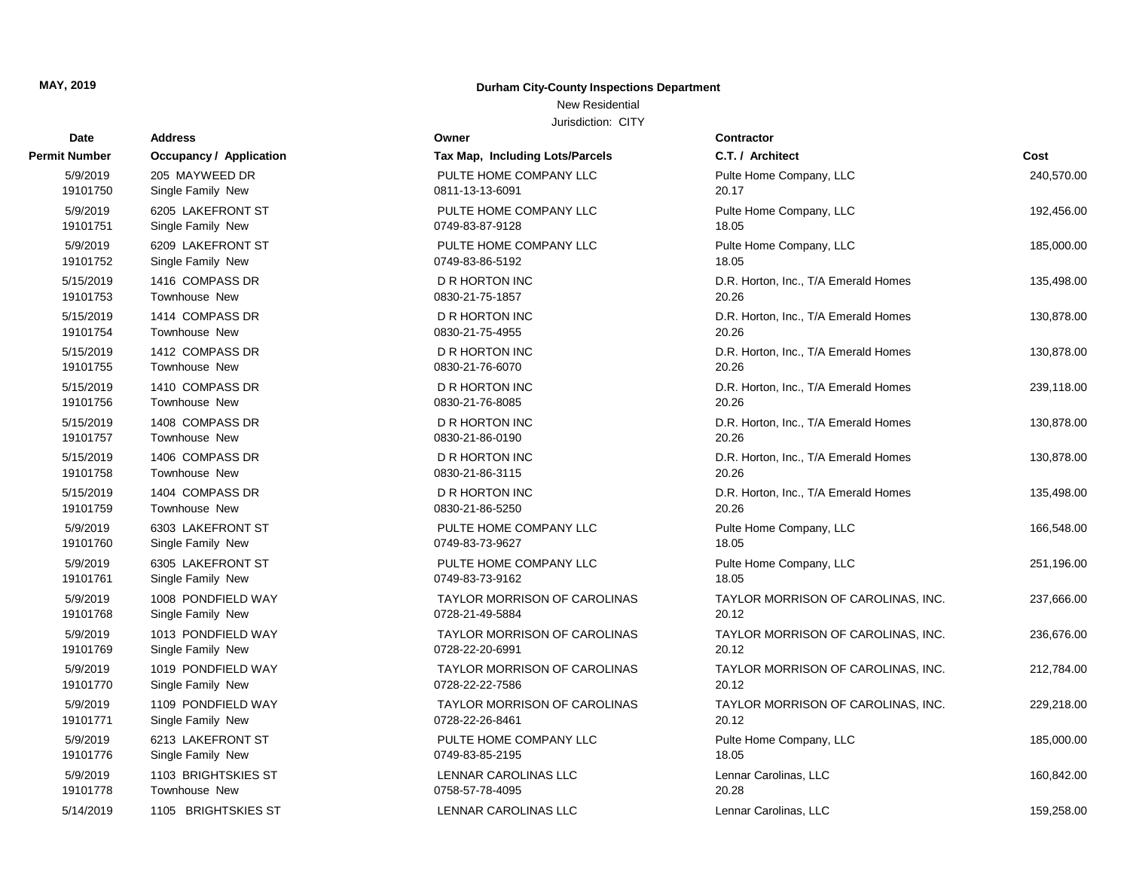Address **Permit Number Occupancy / Application** 

#### **MAY, 2019 Durham City-County Inspections Department**

#### New Residential

| Date                  | <b>Address</b>                   | Owner                                    | <b>Contractor</b>                             |            |
|-----------------------|----------------------------------|------------------------------------------|-----------------------------------------------|------------|
| Number                | <b>Occupancy / Application</b>   | Tax Map, Including Lots/Parcels          | C.T. / Architect                              | Cost       |
| 5/9/2019              | 205 MAYWEED DR                   | PULTE HOME COMPANY LLC                   | Pulte Home Company, LLC                       | 240,570.00 |
| 19101750              | Single Family New                | 0811-13-13-6091                          | 20.17                                         |            |
| 5/9/2019              | 6205 LAKEFRONT ST                | PULTE HOME COMPANY LLC                   | Pulte Home Company, LLC                       | 192,456.00 |
| 19101751              | Single Family New                | 0749-83-87-9128                          | 18.05                                         |            |
| 5/9/2019              | 6209 LAKEFRONT ST                | PULTE HOME COMPANY LLC                   | Pulte Home Company, LLC                       | 185,000.00 |
| 19101752              | Single Family New                | 0749-83-86-5192                          | 18.05                                         |            |
| 5/15/2019             | 1416 COMPASS DR                  | <b>D R HORTON INC</b>                    | D.R. Horton, Inc., T/A Emerald Homes          | 135,498.00 |
| 19101753              | <b>Townhouse New</b>             | 0830-21-75-1857                          | 20.26                                         |            |
| 5/15/2019             | 1414 COMPASS DR                  | <b>D R HORTON INC</b>                    | D.R. Horton, Inc., T/A Emerald Homes          | 130,878.00 |
| 19101754              | Townhouse New                    | 0830-21-75-4955                          | 20.26                                         |            |
| 5/15/2019             | 1412 COMPASS DR                  | <b>D R HORTON INC</b>                    | D.R. Horton, Inc., T/A Emerald Homes          | 130,878.00 |
| 19101755              | Townhouse New                    | 0830-21-76-6070                          | 20.26                                         |            |
| 5/15/2019             | 1410 COMPASS DR                  | <b>D R HORTON INC</b>                    | D.R. Horton, Inc., T/A Emerald Homes          | 239,118.00 |
| 19101756              | Townhouse New                    | 0830-21-76-8085                          | 20.26                                         |            |
| 5/15/2019<br>19101757 | 1408 COMPASS DR<br>Townhouse New | <b>D R HORTON INC</b><br>0830-21-86-0190 | D.R. Horton, Inc., T/A Emerald Homes<br>20.26 | 130,878.00 |
| 5/15/2019             | 1406 COMPASS DR                  | <b>D R HORTON INC</b>                    |                                               | 130,878.00 |
| 19101758              | <b>Townhouse New</b>             | 0830-21-86-3115                          | D.R. Horton, Inc., T/A Emerald Homes<br>20.26 |            |
| 5/15/2019             | 1404 COMPASS DR                  | <b>D R HORTON INC</b>                    | D.R. Horton, Inc., T/A Emerald Homes          | 135,498.00 |
| 19101759              | Townhouse New                    | 0830-21-86-5250                          | 20.26                                         |            |
| 5/9/2019              | 6303 LAKEFRONT ST                | PULTE HOME COMPANY LLC                   | Pulte Home Company, LLC                       | 166,548.00 |
| 19101760              | Single Family New                | 0749-83-73-9627                          | 18.05                                         |            |
| 5/9/2019              | 6305 LAKEFRONT ST                | PULTE HOME COMPANY LLC                   | Pulte Home Company, LLC                       | 251,196.00 |
| 19101761              | Single Family New                | 0749-83-73-9162                          | 18.05                                         |            |
| 5/9/2019              | 1008 PONDFIELD WAY               | <b>TAYLOR MORRISON OF CAROLINAS</b>      | TAYLOR MORRISON OF CAROLINAS, INC.            | 237,666.00 |
| 19101768              | Single Family New                | 0728-21-49-5884                          | 20.12                                         |            |
| 5/9/2019              | 1013 PONDFIELD WAY               | <b>TAYLOR MORRISON OF CAROLINAS</b>      | TAYLOR MORRISON OF CAROLINAS, INC.            | 236,676.00 |
| 19101769              | Single Family New                | 0728-22-20-6991                          | 20.12                                         |            |
| 5/9/2019              | 1019 PONDFIELD WAY               | <b>TAYLOR MORRISON OF CAROLINAS</b>      | TAYLOR MORRISON OF CAROLINAS, INC.            | 212,784.00 |
| 19101770              | Single Family New                | 0728-22-22-7586                          | 20.12                                         |            |
| 5/9/2019              | 1109 PONDFIELD WAY               | TAYLOR MORRISON OF CAROLINAS             | TAYLOR MORRISON OF CAROLINAS, INC.            | 229,218.00 |
| 19101771              | Single Family New                | 0728-22-26-8461                          | 20.12                                         |            |
| 5/9/2019              | 6213 LAKEFRONT ST                | PULTE HOME COMPANY LLC                   | Pulte Home Company, LLC                       | 185,000.00 |
| 19101776              | Single Family New                | 0749-83-85-2195                          | 18.05                                         |            |
| 5/9/2019              | 1103 BRIGHTSKIES ST              | LENNAR CAROLINAS LLC                     | Lennar Carolinas, LLC                         | 160,842.00 |
| 19101778              | Townhouse New                    | 0758-57-78-4095                          | 20.28                                         |            |
| 5/14/2019             | 1105 BRIGHTSKIES ST              | LENNAR CAROLINAS LLC                     | Lennar Carolinas, LLC                         | 159,258.00 |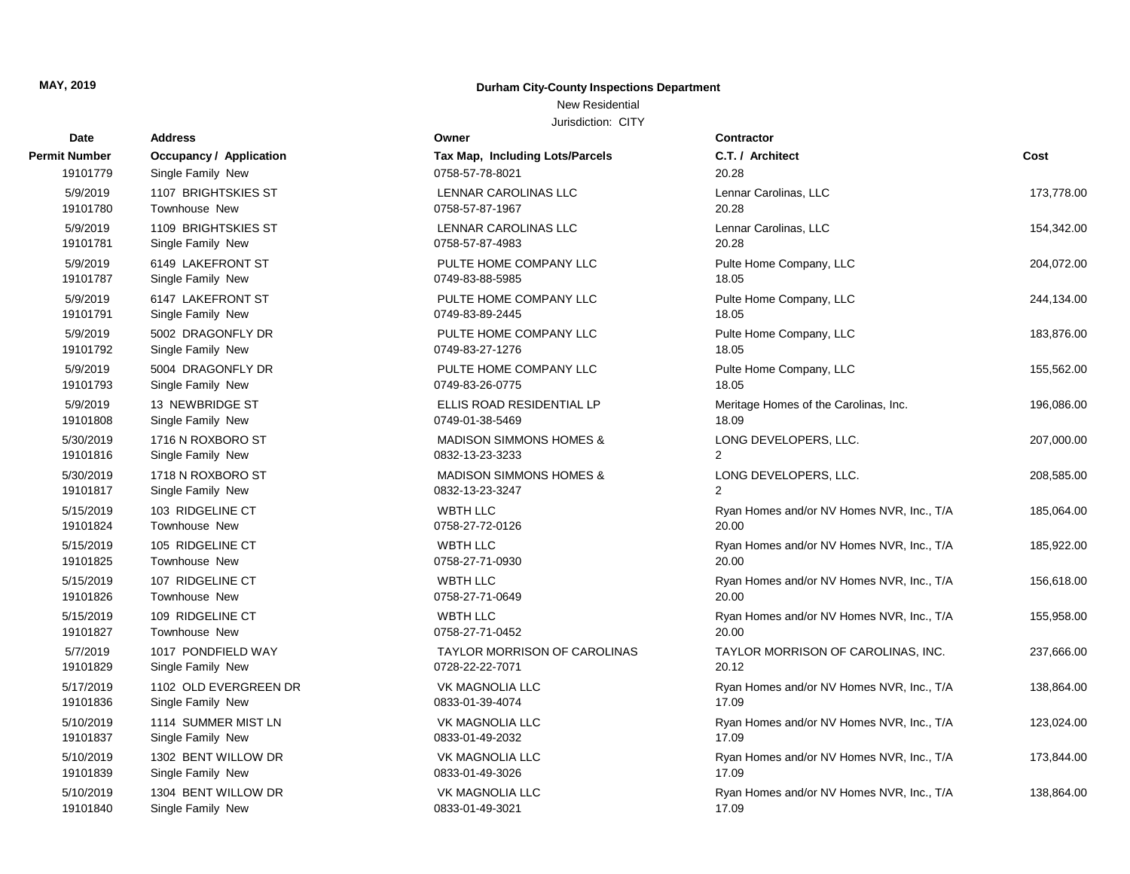## New Residential

| Date          | <b>Address</b>          | Owner                              | <b>Contractor</b>                         |            |
|---------------|-------------------------|------------------------------------|-------------------------------------------|------------|
| Permit Number | Occupancy / Application | Tax Map, Including Lots/Parcels    | C.T. / Architect                          | Cost       |
| 19101779      | Single Family New       | 0758-57-78-8021                    | 20.28                                     |            |
| 5/9/2019      | 1107 BRIGHTSKIES ST     | LENNAR CAROLINAS LLC               | Lennar Carolinas, LLC                     | 173,778.00 |
| 19101780      | <b>Townhouse New</b>    | 0758-57-87-1967                    | 20.28                                     |            |
| 5/9/2019      | 1109 BRIGHTSKIES ST     | LENNAR CAROLINAS LLC               | Lennar Carolinas, LLC                     | 154,342.00 |
| 19101781      | Single Family New       | 0758-57-87-4983                    | 20.28                                     |            |
| 5/9/2019      | 6149 LAKEFRONT ST       | PULTE HOME COMPANY LLC             | Pulte Home Company, LLC                   | 204,072.00 |
| 19101787      | Single Family New       | 0749-83-88-5985                    | 18.05                                     |            |
| 5/9/2019      | 6147 LAKEFRONT ST       | PULTE HOME COMPANY LLC             | Pulte Home Company, LLC                   | 244,134.00 |
| 19101791      | Single Family New       | 0749-83-89-2445                    | 18.05                                     |            |
| 5/9/2019      | 5002 DRAGONFLY DR       | PULTE HOME COMPANY LLC             | Pulte Home Company, LLC                   | 183,876.00 |
| 19101792      | Single Family New       | 0749-83-27-1276                    | 18.05                                     |            |
| 5/9/2019      | 5004 DRAGONFLY DR       | PULTE HOME COMPANY LLC             | Pulte Home Company, LLC                   | 155,562.00 |
| 19101793      | Single Family New       | 0749-83-26-0775                    | 18.05                                     |            |
| 5/9/2019      | 13 NEWBRIDGE ST         | ELLIS ROAD RESIDENTIAL LP          | Meritage Homes of the Carolinas, Inc.     | 196,086.00 |
| 19101808      | Single Family New       | 0749-01-38-5469                    | 18.09                                     |            |
| 5/30/2019     | 1716 N ROXBORO ST       | <b>MADISON SIMMONS HOMES &amp;</b> | LONG DEVELOPERS, LLC.                     | 207,000.00 |
| 19101816      | Single Family New       | 0832-13-23-3233                    | $\overline{2}$                            |            |
| 5/30/2019     | 1718 N ROXBORO ST       | <b>MADISON SIMMONS HOMES &amp;</b> | LONG DEVELOPERS, LLC.                     | 208,585.00 |
| 19101817      | Single Family New       | 0832-13-23-3247                    | $\overline{2}$                            |            |
| 5/15/2019     | 103 RIDGELINE CT        | <b>WBTH LLC</b>                    | Ryan Homes and/or NV Homes NVR, Inc., T/A | 185,064.00 |
| 19101824      | <b>Townhouse New</b>    | 0758-27-72-0126                    | 20.00                                     |            |
| 5/15/2019     | 105 RIDGELINE CT        | <b>WBTH LLC</b>                    | Ryan Homes and/or NV Homes NVR, Inc., T/A | 185,922.00 |
| 19101825      | Townhouse New           | 0758-27-71-0930                    | 20.00                                     |            |
| 5/15/2019     | 107 RIDGELINE CT        | <b>WBTH LLC</b>                    | Ryan Homes and/or NV Homes NVR, Inc., T/A | 156,618.00 |
| 19101826      | Townhouse New           | 0758-27-71-0649                    | 20.00                                     |            |
| 5/15/2019     | 109 RIDGELINE CT        | <b>WBTH LLC</b>                    | Ryan Homes and/or NV Homes NVR, Inc., T/A | 155,958.00 |
| 19101827      | <b>Townhouse New</b>    | 0758-27-71-0452                    | 20.00                                     |            |
| 5/7/2019      | 1017 PONDFIELD WAY      | TAYLOR MORRISON OF CAROLINAS       | TAYLOR MORRISON OF CAROLINAS, INC.        | 237,666.00 |
| 19101829      | Single Family New       | 0728-22-22-7071                    | 20.12                                     |            |
| 5/17/2019     | 1102 OLD EVERGREEN DR   | <b>VK MAGNOLIA LLC</b>             | Ryan Homes and/or NV Homes NVR, Inc., T/A | 138,864.00 |
| 19101836      | Single Family New       | 0833-01-39-4074                    | 17.09                                     |            |
| 5/10/2019     | 1114 SUMMER MIST LN     | VK MAGNOLIA LLC                    | Ryan Homes and/or NV Homes NVR, Inc., T/A | 123,024.00 |
| 19101837      | Single Family New       | 0833-01-49-2032                    | 17.09                                     |            |
| 5/10/2019     | 1302 BENT WILLOW DR     | VK MAGNOLIA LLC                    | Ryan Homes and/or NV Homes NVR, Inc., T/A | 173,844.00 |
| 19101839      | Single Family New       | 0833-01-49-3026                    | 17.09                                     |            |
| 5/10/2019     | 1304 BENT WILLOW DR     | <b>VK MAGNOLIA LLC</b>             | Ryan Homes and/or NV Homes NVR, Inc., T/A | 138,864.00 |
| 19101840      | Single Family New       | 0833-01-49-3021                    | 17.09                                     |            |

| ermit Number | <b>Occupancy / Application</b> |
|--------------|--------------------------------|
| 19101779     | Single Family New              |
| 5/9/2019     | 1107 BRIGHTSKIES ST            |
| 19101780     | <b>Townhouse New</b>           |
| 5/9/2019     | 1109 BRIGHTSKIES ST            |
| 19101781     | Single Family New              |
| 5/9/2019     | 6149 LAKEFRONT ST              |
| 19101787     | Single Family New              |
| 5/9/2019     | 6147 LAKEFRONT ST              |
| 19101791     | Single Family New              |
| 5/9/2019     | 5002 DRAGONFLY DR              |
| 19101792     | Single Family New              |
| 5/9/2019     | 5004 DRAGONFLY DR              |
| 19101793     | Single Family New              |
| 5/9/2019     | 13 NEWBRIDGE ST                |
| 19101808     | Single Family New              |
| 5/30/2019    | 1716 N ROXBORO ST              |
| 19101816     | Single Family New              |
| 5/30/2019    | 1718 N ROXBORO ST              |
| 19101817     | Single Family New              |
| 5/15/2019    | 103 RIDGELINE CT               |
| 19101824     | <b>Townhouse New</b>           |
| 5/15/2019    | 105 RIDGELINE CT               |
| 19101825     | <b>Townhouse New</b>           |
| 5/15/2019    | 107 RIDGELINE CT               |
| 19101826     | <b>Townhouse New</b>           |
| 5/15/2019    | 109 RIDGELINE CT               |
| 19101827     | <b>Townhouse New</b>           |
| 5/7/2019     | 1017 PONDFIELD WAY             |
| 19101829     | Single Family New              |
| 5/17/2019    | 1102 OLD EVERGREEN D           |
| 19101836     | Single Family New              |
| 5/10/2019    | 1114 SUMMER MIST LN            |
| 19101837     | Single Family New              |
| 5/10/2019    | 1302 BENT WILLOW DR            |
| 19101839     | Single Family New              |
| 5/10/2019    | 1304 BENT WILLOW DR            |
| 19101840     | Single Family New              |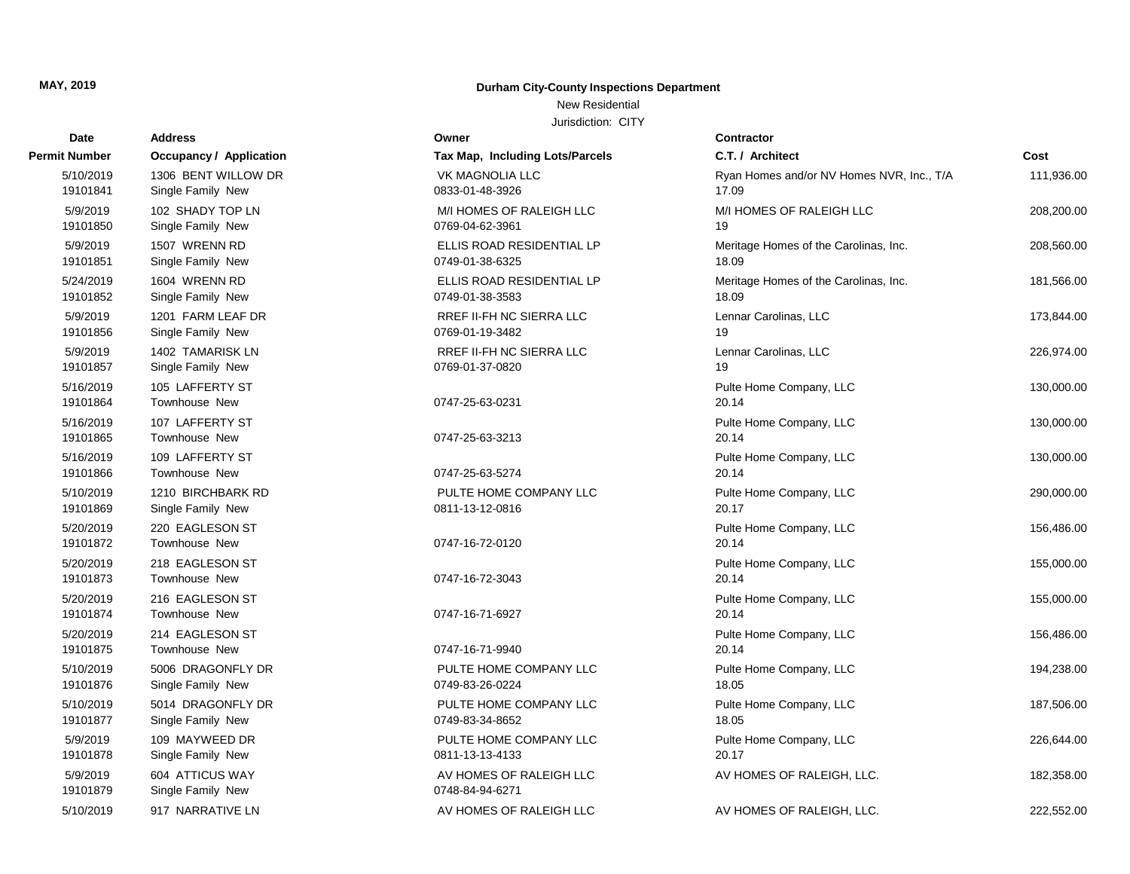## New Residential

| Date                  | <b>Address</b>                           | Owner                                              | <b>Contractor</b>                                  |            |
|-----------------------|------------------------------------------|----------------------------------------------------|----------------------------------------------------|------------|
| t Number              | <b>Occupancy / Application</b>           | Tax Map, Including Lots/Parcels                    | C.T. / Architect                                   | Cost       |
| 5/10/2019<br>19101841 | 1306 BENT WILLOW DR<br>Single Family New | <b>VK MAGNOLIA LLC</b><br>0833-01-48-3926          | Ryan Homes and/or NV Homes NVR, Inc., T/A<br>17.09 | 111,936.00 |
| 5/9/2019<br>19101850  | 102 SHADY TOP LN<br>Single Family New    | M/I HOMES OF RALEIGH LLC<br>0769-04-62-3961        | M/I HOMES OF RALEIGH LLC<br>19                     | 208,200.00 |
| 5/9/2019<br>19101851  | 1507 WRENN RD<br>Single Family New       | ELLIS ROAD RESIDENTIAL LP<br>0749-01-38-6325       | Meritage Homes of the Carolinas, Inc.<br>18.09     | 208,560.00 |
| 5/24/2019<br>19101852 | 1604 WRENN RD<br>Single Family New       | ELLIS ROAD RESIDENTIAL LP<br>0749-01-38-3583       | Meritage Homes of the Carolinas, Inc.<br>18.09     | 181,566.00 |
| 5/9/2019<br>19101856  | 1201 FARM LEAF DR<br>Single Family New   | <b>RREF II-FH NC SIERRA LLC</b><br>0769-01-19-3482 | Lennar Carolinas, LLC<br>19                        | 173,844.00 |
| 5/9/2019<br>19101857  | 1402 TAMARISK LN<br>Single Family New    | <b>RREF II-FH NC SIERRA LLC</b><br>0769-01-37-0820 | Lennar Carolinas, LLC<br>19                        | 226,974.00 |
| 5/16/2019<br>19101864 | 105 LAFFERTY ST<br><b>Townhouse New</b>  | 0747-25-63-0231                                    | Pulte Home Company, LLC<br>20.14                   | 130,000.00 |
| 5/16/2019<br>19101865 | 107 LAFFERTY ST<br><b>Townhouse New</b>  | 0747-25-63-3213                                    | Pulte Home Company, LLC<br>20.14                   | 130,000.00 |
| 5/16/2019<br>19101866 | 109 LAFFERTY ST<br><b>Townhouse New</b>  | 0747-25-63-5274                                    | Pulte Home Company, LLC<br>20.14                   | 130,000.00 |
| 5/10/2019<br>19101869 | 1210 BIRCHBARK RD<br>Single Family New   | PULTE HOME COMPANY LLC<br>0811-13-12-0816          | Pulte Home Company, LLC<br>20.17                   | 290,000.00 |
| 5/20/2019<br>19101872 | 220 EAGLESON ST<br><b>Townhouse New</b>  | 0747-16-72-0120                                    | Pulte Home Company, LLC<br>20.14                   | 156,486.00 |
| 5/20/2019<br>19101873 | 218 EAGLESON ST<br><b>Townhouse New</b>  | 0747-16-72-3043                                    | Pulte Home Company, LLC<br>20.14                   | 155,000.00 |
| 5/20/2019<br>19101874 | 216 EAGLESON ST<br><b>Townhouse New</b>  | 0747-16-71-6927                                    | Pulte Home Company, LLC<br>20.14                   | 155,000.00 |
| 5/20/2019<br>19101875 | 214 EAGLESON ST<br><b>Townhouse New</b>  | 0747-16-71-9940                                    | Pulte Home Company, LLC<br>20.14                   | 156,486.00 |
| 5/10/2019<br>19101876 | 5006 DRAGONFLY DR<br>Single Family New   | PULTE HOME COMPANY LLC<br>0749-83-26-0224          | Pulte Home Company, LLC<br>18.05                   | 194,238.00 |
| 5/10/2019<br>19101877 | 5014 DRAGONFLY DR<br>Single Family New   | PULTE HOME COMPANY LLC<br>0749-83-34-8652          | Pulte Home Company, LLC<br>18.05                   | 187,506.00 |
| 5/9/2019<br>19101878  | 109 MAYWEED DR<br>Single Family New      | PULTE HOME COMPANY LLC<br>0811-13-13-4133          | Pulte Home Company, LLC<br>20.17                   | 226,644.00 |
| 5/9/2019<br>19101879  | 604 ATTICUS WAY<br>Single Family New     | AV HOMES OF RALEIGH LLC<br>0748-84-94-6271         | AV HOMES OF RALEIGH, LLC.                          | 182,358.00 |
| 5/10/2019             | 917 NARRATIVE LN                         | AV HOMES OF RALEIGH LLC                            | AV HOMES OF RALEIGH, LLC.                          | 222.552.00 |

| <b>Permit Number</b>  | <b>Occupancy / Application</b>          | Tax Map, Including Lots/Parcels                    |
|-----------------------|-----------------------------------------|----------------------------------------------------|
| 5/10/2019             | 1306 BENT WILLOW DR                     | <b>VK MAGNOLIA LLC</b>                             |
| 19101841              | Single Family New                       | 0833-01-48-3926                                    |
| 5/9/2019<br>19101850  | 102 SHADY TOP LN<br>Single Family New   | M/I HOMES OF RALEIGH LLC<br>0769-04-62-3961        |
| 5/9/2019<br>19101851  | 1507 WRENN RD<br>Single Family New      | ELLIS ROAD RESIDENTIAL LP<br>0749-01-38-6325       |
| 5/24/2019<br>19101852 | 1604 WRENN RD<br>Single Family New      | ELLIS ROAD RESIDENTIAL LP<br>0749-01-38-3583       |
| 5/9/2019<br>19101856  | 1201 FARM LEAF DR<br>Single Family New  | RREF II-FH NC SIERRA LLC<br>0769-01-19-3482        |
| 5/9/2019<br>19101857  | 1402 TAMARISK LN<br>Single Family New   | <b>RREF II-FH NC SIERRA LLC</b><br>0769-01-37-0820 |
| 5/16/2019<br>19101864 | 105 LAFFERTY ST<br>Townhouse New        | 0747-25-63-0231                                    |
| 5/16/2019<br>19101865 | 107 LAFFERTY ST<br><b>Townhouse New</b> | 0747-25-63-3213                                    |
| 5/16/2019<br>19101866 | 109 LAFFERTY ST<br><b>Townhouse New</b> | 0747-25-63-5274                                    |
| 5/10/2019<br>19101869 | 1210 BIRCHBARK RD<br>Single Family New  | PULTE HOME COMPANY LLC<br>0811-13-12-0816          |
| 5/20/2019<br>19101872 | 220 EAGLESON ST<br><b>Townhouse New</b> | 0747-16-72-0120                                    |
| 5/20/2019<br>19101873 | 218 EAGLESON ST<br>Townhouse New        | 0747-16-72-3043                                    |
| 5/20/2019<br>19101874 | 216 EAGLESON ST<br>Townhouse New        | 0747-16-71-6927                                    |
| 5/20/2019<br>19101875 | 214 EAGLESON ST<br>Townhouse New        | 0747-16-71-9940                                    |
| 5/10/2019<br>19101876 | 5006 DRAGONFLY DR<br>Single Family New  | PULTE HOME COMPANY LLC<br>0749-83-26-0224          |
| 5/10/2019<br>19101877 | 5014 DRAGONFLY DR<br>Single Family New  | PULTE HOME COMPANY LLC<br>0749-83-34-8652          |
| 5/9/2019<br>19101878  | 109 MAYWEED DR<br>Single Family New     | PULTE HOME COMPANY LLC<br>0811-13-13-4133          |
| 5/9/2019<br>19101879  | 604 ATTICUS WAY<br>Single Family New    | AV HOMES OF RALEIGH LLC<br>0748-84-94-6271         |
| 5/10/2019             | 917 NARRATIVE LN                        | AV HOMES OF RALEIGH LLC                            |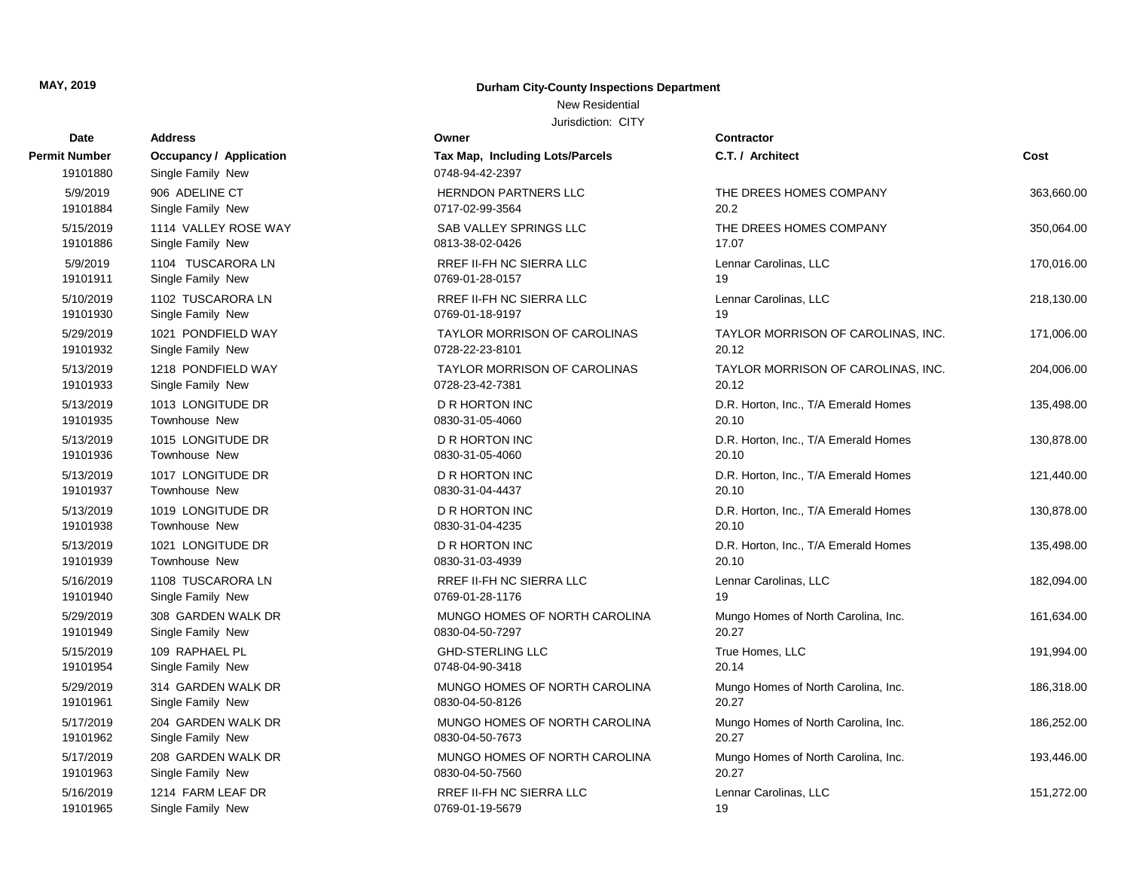#### New Residential

| Date                      | <b>Address</b>                                      | Owner                                              | <b>Contractor</b>                    |            |
|---------------------------|-----------------------------------------------------|----------------------------------------------------|--------------------------------------|------------|
| Permit Number<br>19101880 | <b>Occupancy / Application</b><br>Single Family New | Tax Map, Including Lots/Parcels<br>0748-94-42-2397 | C.T. / Architect                     | Cost       |
| 5/9/2019                  | 906 ADELINE CT                                      | <b>HERNDON PARTNERS LLC</b>                        | THE DREES HOMES COMPANY              | 363,660.00 |
| 19101884                  | Single Family New                                   | 0717-02-99-3564                                    | 20.2                                 |            |
| 5/15/2019                 | 1114 VALLEY ROSE WAY                                | SAB VALLEY SPRINGS LLC                             | THE DREES HOMES COMPANY              | 350,064.00 |
| 19101886                  | Single Family New                                   | 0813-38-02-0426                                    | 17.07                                |            |
| 5/9/2019                  | 1104 TUSCARORA LN                                   | RREF II-FH NC SIERRA LLC                           | Lennar Carolinas, LLC                | 170,016.00 |
| 19101911                  | Single Family New                                   | 0769-01-28-0157                                    | 19                                   |            |
| 5/10/2019                 | 1102 TUSCARORA LN                                   | RREF II-FH NC SIERRA LLC                           | Lennar Carolinas, LLC                | 218,130.00 |
| 19101930                  | Single Family New                                   | 0769-01-18-9197                                    | 19                                   |            |
| 5/29/2019                 | 1021 PONDFIELD WAY                                  | <b>TAYLOR MORRISON OF CAROLINAS</b>                | TAYLOR MORRISON OF CAROLINAS, INC.   | 171,006.00 |
| 19101932                  | Single Family New                                   | 0728-22-23-8101                                    | 20.12                                |            |
| 5/13/2019                 | 1218 PONDFIELD WAY                                  | <b>TAYLOR MORRISON OF CAROLINAS</b>                | TAYLOR MORRISON OF CAROLINAS, INC.   | 204,006.00 |
| 19101933                  | Single Family New                                   | 0728-23-42-7381                                    | 20.12                                |            |
| 5/13/2019                 | 1013 LONGITUDE DR                                   | <b>D R HORTON INC</b>                              | D.R. Horton, Inc., T/A Emerald Homes | 135,498.00 |
| 19101935                  | Townhouse New                                       | 0830-31-05-4060                                    | 20.10                                |            |
| 5/13/2019                 | 1015 LONGITUDE DR                                   | D R HORTON INC                                     | D.R. Horton, Inc., T/A Emerald Homes | 130,878.00 |
| 19101936                  | <b>Townhouse New</b>                                | 0830-31-05-4060                                    | 20.10                                |            |
| 5/13/2019                 | 1017 LONGITUDE DR                                   | <b>D R HORTON INC</b>                              | D.R. Horton, Inc., T/A Emerald Homes | 121,440.00 |
| 19101937                  | <b>Townhouse New</b>                                | 0830-31-04-4437                                    | 20.10                                |            |
| 5/13/2019                 | 1019 LONGITUDE DR                                   | D R HORTON INC                                     | D.R. Horton, Inc., T/A Emerald Homes | 130,878.00 |
| 19101938                  | Townhouse New                                       | 0830-31-04-4235                                    | 20.10                                |            |
| 5/13/2019                 | 1021 LONGITUDE DR                                   | <b>D R HORTON INC</b>                              | D.R. Horton, Inc., T/A Emerald Homes | 135,498.00 |
| 19101939                  | <b>Townhouse New</b>                                | 0830-31-03-4939                                    | 20.10                                |            |
| 5/16/2019                 | 1108 TUSCARORA LN                                   | RREF II-FH NC SIERRA LLC                           | Lennar Carolinas, LLC                | 182,094.00 |
| 19101940                  | Single Family New                                   | 0769-01-28-1176                                    | 19                                   |            |
| 5/29/2019                 | 308 GARDEN WALK DR                                  | MUNGO HOMES OF NORTH CAROLINA                      | Mungo Homes of North Carolina, Inc.  | 161,634.00 |
| 19101949                  | Single Family New                                   | 0830-04-50-7297                                    | 20.27                                |            |
| 5/15/2019                 | 109 RAPHAEL PL                                      | <b>GHD-STERLING LLC</b>                            | True Homes, LLC                      | 191,994.00 |
| 19101954                  | Single Family New                                   | 0748-04-90-3418                                    | 20.14                                |            |
| 5/29/2019                 | 314 GARDEN WALK DR                                  | MUNGO HOMES OF NORTH CAROLINA                      | Mungo Homes of North Carolina, Inc.  | 186,318.00 |
| 19101961                  | Single Family New                                   | 0830-04-50-8126                                    | 20.27                                |            |
| 5/17/2019                 | 204 GARDEN WALK DR                                  | MUNGO HOMES OF NORTH CAROLINA                      | Mungo Homes of North Carolina, Inc.  | 186,252.00 |
| 19101962                  | Single Family New                                   | 0830-04-50-7673                                    | 20.27                                |            |
| 5/17/2019                 | 208 GARDEN WALK DR                                  | MUNGO HOMES OF NORTH CAROLINA                      | Mungo Homes of North Carolina, Inc.  | 193,446.00 |
| 19101963                  | Single Family New                                   | 0830-04-50-7560                                    | 20.27                                |            |
| 5/16/2019                 | 1214 FARM LEAF DR                                   | RREF II-FH NC SIERRA LLC                           | Lennar Carolinas, LLC                | 151,272.00 |
| 19101965                  | Single Family New                                   | 0769-01-19-5679                                    | 19                                   |            |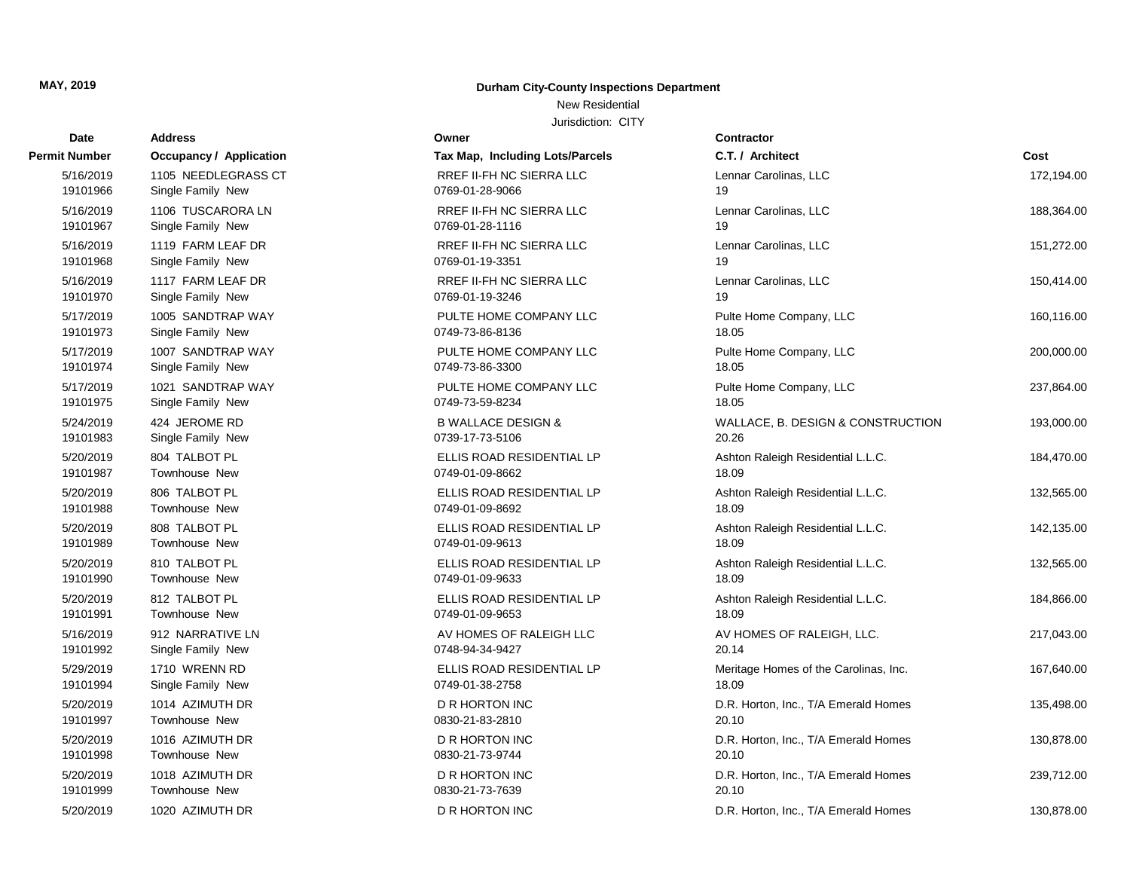# **Date Contractor Address Owner Permit Number Occupancy / Application Tax Map, Including Lots** 19101998 Townhouse New 2012 19101998 0830-21-73-9744 19101997 Townhouse New 2012 19101997 7 Townhouse New 20.100 20.100 20.100 20.100 20.100 20.100 20.10 19101994 Single Family New 0749-01-38-2758 19101992 Single Family New 0748-94-34-9427 19101991 Townhouse New 2012 1910199-01-09-9653 19101990 Townhouse New 2012 191019901-09-9633 19101989 Townhouse New 2012 19101989 0749-01-09-9613 19101988 Townhouse New 2012 1910198892 19101987 Townhouse New 2012 19101987 0749-01-09-8662 19101983 Single Family New 2012 2021 2021 20:30-17-73-5106 19101975 Single Family New 0749-73-59-8234 19101974 Single Family New 0749-73-86-3300 19101973 Single Family New 0749-73-86-8136 19101970 Single Family New 0769-01-19-3246 19101968 Single Family New 0769-01-19-3351 19101967 Single Family New 0769-01-28-1116 19101966 Single Family New 0769-01-28-9066

#### **MAY, 2019 Durham City-County Inspections Department**

New Residential

| it Number             | Occupancy / Application        | Tax Map, Including Lots/Parcels              | C.T. / Architect                           | Cost       |
|-----------------------|--------------------------------|----------------------------------------------|--------------------------------------------|------------|
| 5/16/2019             | 1105 NEEDLEGRASS CT            | RREF II-FH NC SIERRA LLC                     | Lennar Carolinas, LLC                      | 172,194.00 |
| 19101966              | Single Family New              | 0769-01-28-9066                              | 19                                         |            |
| 5/16/2019             | 1106 TUSCARORA LN              | RREF II-FH NC SIERRA LLC                     | Lennar Carolinas, LLC                      | 188,364.00 |
| 19101967              | Single Family New              | 0769-01-28-1116                              | 19                                         |            |
| 5/16/2019             | 1119 FARM LEAF DR              | RREF II-FH NC SIERRA LLC                     | Lennar Carolinas, LLC                      | 151,272.00 |
| 19101968              | Single Family New              | 0769-01-19-3351                              | 19                                         |            |
| 5/16/2019             | 1117 FARM LEAF DR              | RREF II-FH NC SIERRA LLC                     | Lennar Carolinas, LLC                      | 150,414.00 |
| 19101970              | Single Family New              | 0769-01-19-3246                              | 19                                         |            |
| 5/17/2019             | 1005 SANDTRAP WAY              | PULTE HOME COMPANY LLC                       | Pulte Home Company, LLC                    | 160,116.00 |
| 19101973              | Single Family New              | 0749-73-86-8136                              | 18.05                                      |            |
| 5/17/2019             | 1007 SANDTRAP WAY              | PULTE HOME COMPANY LLC                       | Pulte Home Company, LLC                    | 200,000.00 |
| 19101974              | Single Family New              | 0749-73-86-3300                              | 18.05                                      |            |
| 5/17/2019             | 1021 SANDTRAP WAY              | PULTE HOME COMPANY LLC                       | Pulte Home Company, LLC                    | 237,864.00 |
| 19101975              | Single Family New              | 0749-73-59-8234                              | 18.05                                      |            |
| 5/24/2019             | 424 JEROME RD                  | <b>B WALLACE DESIGN &amp;</b>                | WALLACE, B. DESIGN & CONSTRUCTION<br>20.26 | 193,000.00 |
| 19101983              | Single Family New              | 0739-17-73-5106                              |                                            |            |
| 5/20/2019<br>19101987 | 804 TALBOT PL<br>Townhouse New | ELLIS ROAD RESIDENTIAL LP<br>0749-01-09-8662 | Ashton Raleigh Residential L.L.C.<br>18.09 | 184,470.00 |
|                       | 806 TALBOT PL                  | ELLIS ROAD RESIDENTIAL LP                    |                                            | 132,565.00 |
| 5/20/2019<br>19101988 | Townhouse New                  | 0749-01-09-8692                              | Ashton Raleigh Residential L.L.C.<br>18.09 |            |
| 5/20/2019             | 808 TALBOT PL                  | ELLIS ROAD RESIDENTIAL LP                    | Ashton Raleigh Residential L.L.C.          | 142,135.00 |
| 19101989              | Townhouse New                  | 0749-01-09-9613                              | 18.09                                      |            |
| 5/20/2019             | 810 TALBOT PL                  | ELLIS ROAD RESIDENTIAL LP                    | Ashton Raleigh Residential L.L.C.          | 132,565.00 |
| 19101990              | Townhouse New                  | 0749-01-09-9633                              | 18.09                                      |            |
| 5/20/2019             | 812 TALBOT PL                  | ELLIS ROAD RESIDENTIAL LP                    | Ashton Raleigh Residential L.L.C.          | 184,866.00 |
| 19101991              | Townhouse New                  | 0749-01-09-9653                              | 18.09                                      |            |
| 5/16/2019             | 912 NARRATIVE LN               | AV HOMES OF RALEIGH LLC                      | AV HOMES OF RALEIGH, LLC.                  | 217,043.00 |
| 19101992              | Single Family New              | 0748-94-34-9427                              | 20.14                                      |            |
| 5/29/2019             | 1710 WRENN RD                  | ELLIS ROAD RESIDENTIAL LP                    | Meritage Homes of the Carolinas, Inc.      | 167,640.00 |
| 19101994              | Single Family New              | 0749-01-38-2758                              | 18.09                                      |            |
| 5/20/2019             | 1014 AZIMUTH DR                | <b>D R HORTON INC</b>                        | D.R. Horton, Inc., T/A Emerald Homes       | 135,498.00 |
| 19101997              | Townhouse New                  | 0830-21-83-2810                              | 20.10                                      |            |
| 5/20/2019             | 1016 AZIMUTH DR                | D R HORTON INC                               | D.R. Horton, Inc., T/A Emerald Homes       | 130,878.00 |
| 19101998              | Townhouse New                  | 0830-21-73-9744                              | 20.10                                      |            |
| 5/20/2019             | 1018 AZIMUTH DR                | <b>D R HORTON INC</b>                        | D.R. Horton, Inc., T/A Emerald Homes       | 239,712.00 |
| 19101999              | Townhouse New                  | 0830-21-73-7639                              | 20.10                                      |            |
| 5/20/2019             | 1020 AZIMUTH DR                | D R HORTON INC                               | D.R. Horton, Inc., T/A Emerald Homes       | 130,878.00 |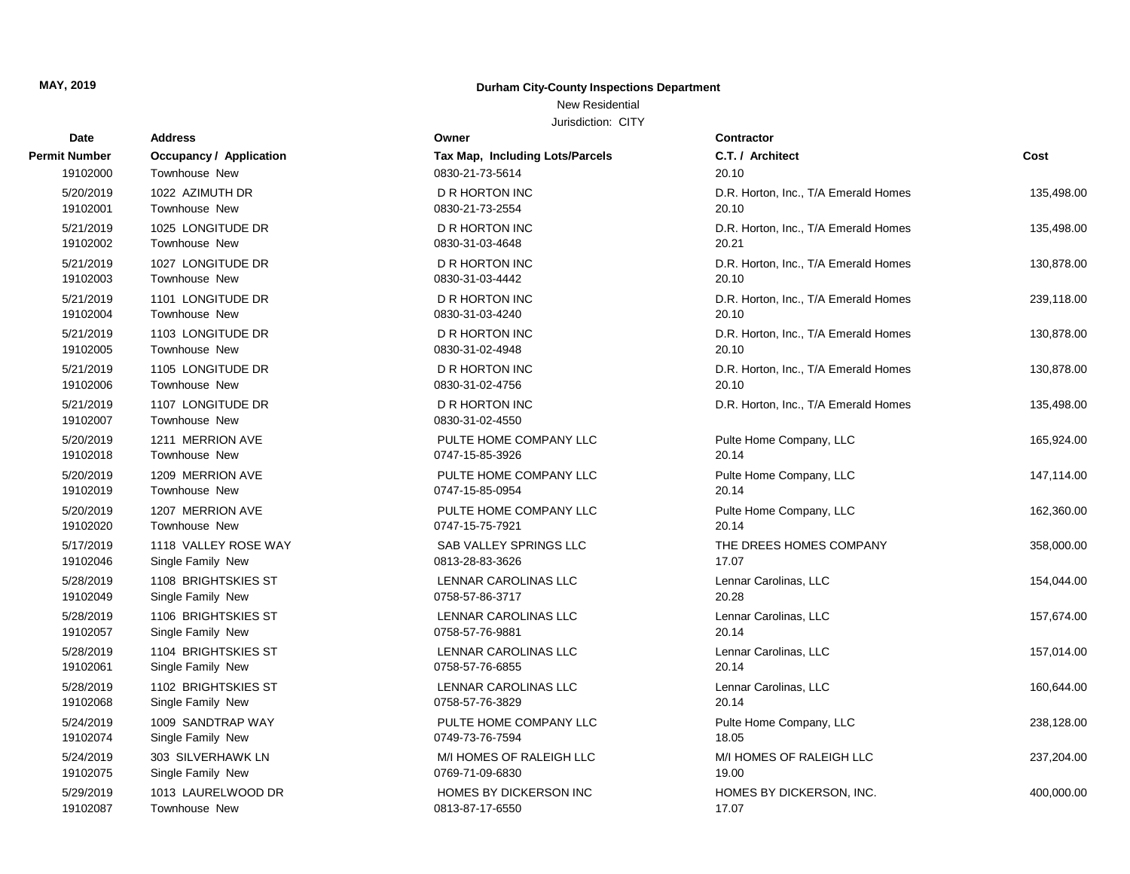**Permit Number** 

#### **MAY, 2019 Durham City-County Inspections Department**

New Residential

| Date                  | Address                            | Owner                                    | Contractor                           |            |
|-----------------------|------------------------------------|------------------------------------------|--------------------------------------|------------|
| t Number              | Occupancy / Application            | Tax Map, Including Lots/Parcels          | C.T. / Architect                     | Cost       |
| 19102000              | Townhouse New                      | 0830-21-73-5614                          | 20.10                                |            |
| 5/20/2019             | 1022 AZIMUTH DR                    | <b>D R HORTON INC</b>                    | D.R. Horton, Inc., T/A Emerald Homes | 135,498.00 |
| 19102001              | Townhouse New                      | 0830-21-73-2554                          | 20.10                                |            |
| 5/21/2019             | 1025 LONGITUDE DR                  | D R HORTON INC                           | D.R. Horton, Inc., T/A Emerald Homes | 135,498.00 |
| 19102002              | Townhouse New                      | 0830-31-03-4648                          | 20.21                                |            |
| 5/21/2019             | 1027 LONGITUDE DR                  | <b>D R HORTON INC</b>                    | D.R. Horton, Inc., T/A Emerald Homes | 130,878.00 |
| 19102003              | Townhouse New                      | 0830-31-03-4442                          | 20.10                                |            |
| 5/21/2019             | 1101 LONGITUDE DR                  | <b>D R HORTON INC</b>                    | D.R. Horton, Inc., T/A Emerald Homes | 239,118.00 |
| 19102004              | Townhouse New                      | 0830-31-03-4240                          | 20.10                                |            |
| 5/21/2019             | 1103 LONGITUDE DR                  | D R HORTON INC                           | D.R. Horton, Inc., T/A Emerald Homes | 130,878.00 |
| 19102005              | Townhouse New                      | 0830-31-02-4948                          | 20.10                                |            |
| 5/21/2019             | 1105 LONGITUDE DR                  | <b>D R HORTON INC</b>                    | D.R. Horton, Inc., T/A Emerald Homes | 130,878.00 |
| 19102006              | Townhouse New                      | 0830-31-02-4756                          | 20.10                                |            |
| 5/21/2019<br>19102007 | 1107 LONGITUDE DR<br>Townhouse New | <b>D R HORTON INC</b><br>0830-31-02-4550 | D.R. Horton, Inc., T/A Emerald Homes | 135,498.00 |
| 5/20/2019             | 1211 MERRION AVE                   | PULTE HOME COMPANY LLC                   | Pulte Home Company, LLC              | 165,924.00 |
| 19102018              | Townhouse New                      | 0747-15-85-3926                          | 20.14                                |            |
| 5/20/2019             | 1209 MERRION AVE                   | PULTE HOME COMPANY LLC                   | Pulte Home Company, LLC              | 147,114.00 |
| 19102019              | Townhouse New                      | 0747-15-85-0954                          | 20.14                                |            |
| 5/20/2019             | 1207 MERRION AVE                   | PULTE HOME COMPANY LLC                   | Pulte Home Company, LLC              | 162,360.00 |
| 19102020              | Townhouse New                      | 0747-15-75-7921                          | 20.14                                |            |
| 5/17/2019             | 1118 VALLEY ROSE WAY               | SAB VALLEY SPRINGS LLC                   | THE DREES HOMES COMPANY              | 358,000.00 |
| 19102046              | Single Family New                  | 0813-28-83-3626                          | 17.07                                |            |
| 5/28/2019             | 1108 BRIGHTSKIES ST                | LENNAR CAROLINAS LLC                     | Lennar Carolinas, LLC                | 154,044.00 |
| 19102049              | Single Family New                  | 0758-57-86-3717                          | 20.28                                |            |
| 5/28/2019             | 1106 BRIGHTSKIES ST                | LENNAR CAROLINAS LLC                     | Lennar Carolinas, LLC                | 157,674.00 |
| 19102057              | Single Family New                  | 0758-57-76-9881                          | 20.14                                |            |
| 5/28/2019             | 1104 BRIGHTSKIES ST                | LENNAR CAROLINAS LLC                     | Lennar Carolinas, LLC                | 157,014.00 |
| 19102061              | Single Family New                  | 0758-57-76-6855                          | 20.14                                |            |
| 5/28/2019             | 1102 BRIGHTSKIES ST                | LENNAR CAROLINAS LLC                     | Lennar Carolinas, LLC                | 160,644.00 |
| 19102068              | Single Family New                  | 0758-57-76-3829                          | 20.14                                |            |
| 5/24/2019             | 1009 SANDTRAP WAY                  | PULTE HOME COMPANY LLC                   | Pulte Home Company, LLC              | 238,128.00 |
| 19102074              | Single Family New                  | 0749-73-76-7594                          | 18.05                                |            |
| 5/24/2019             | 303 SILVERHAWK LN                  | M/I HOMES OF RALEIGH LLC                 | M/I HOMES OF RALEIGH LLC             | 237,204.00 |
| 19102075              | Single Family New                  | 0769-71-09-6830                          | 19.00                                |            |
| 5/29/2019             | 1013 LAURELWOOD DR                 | HOMES BY DICKERSON INC                   | HOMES BY DICKERSON, INC.             | 400,000.00 |
| 19102087              | Townhouse New                      | 0813-87-17-6550                          | 17.07                                |            |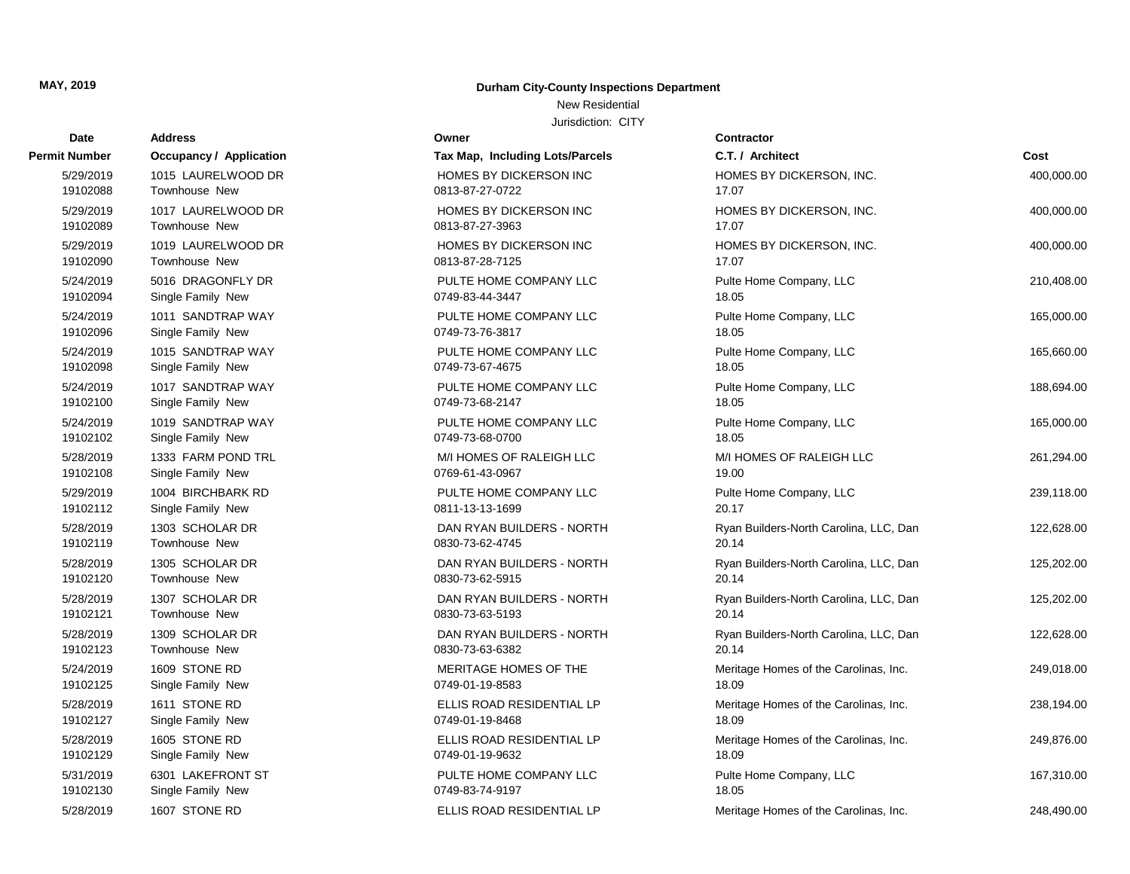## New Residential

| Dalt      | Auuress                        |                                 |                                        |            |
|-----------|--------------------------------|---------------------------------|----------------------------------------|------------|
| t Number  | <b>Occupancy / Application</b> | Tax Map, Including Lots/Parcels | C.T. / Architect                       | Cost       |
| 5/29/2019 | 1015 LAURELWOOD DR             | HOMES BY DICKERSON INC          | HOMES BY DICKERSON, INC.               | 400,000.00 |
| 19102088  | Townhouse New                  | 0813-87-27-0722                 | 17.07                                  |            |
| 5/29/2019 | 1017 LAURELWOOD DR             | HOMES BY DICKERSON INC          | HOMES BY DICKERSON, INC.               | 400,000.00 |
| 19102089  | Townhouse New                  | 0813-87-27-3963                 | 17.07                                  |            |
| 5/29/2019 | 1019 LAURELWOOD DR             | HOMES BY DICKERSON INC          | HOMES BY DICKERSON, INC.               | 400,000.00 |
| 19102090  | Townhouse New                  | 0813-87-28-7125                 | 17.07                                  |            |
| 5/24/2019 | 5016 DRAGONFLY DR              | PULTE HOME COMPANY LLC          | Pulte Home Company, LLC                | 210,408.00 |
| 19102094  | Single Family New              | 0749-83-44-3447                 | 18.05                                  |            |
| 5/24/2019 | 1011 SANDTRAP WAY              | PULTE HOME COMPANY LLC          | Pulte Home Company, LLC                | 165,000.00 |
| 19102096  | Single Family New              | 0749-73-76-3817                 | 18.05                                  |            |
| 5/24/2019 | 1015 SANDTRAP WAY              | PULTE HOME COMPANY LLC          | Pulte Home Company, LLC                | 165,660.00 |
| 19102098  | Single Family New              | 0749-73-67-4675                 | 18.05                                  |            |
| 5/24/2019 | 1017 SANDTRAP WAY              | PULTE HOME COMPANY LLC          | Pulte Home Company, LLC                | 188,694.00 |
| 19102100  | Single Family New              | 0749-73-68-2147                 | 18.05                                  |            |
| 5/24/2019 | 1019 SANDTRAP WAY              | PULTE HOME COMPANY LLC          | Pulte Home Company, LLC                | 165,000.00 |
| 19102102  | Single Family New              | 0749-73-68-0700                 | 18.05                                  |            |
| 5/28/2019 | 1333 FARM POND TRL             | M/I HOMES OF RALEIGH LLC        | M/I HOMES OF RALEIGH LLC               | 261,294.00 |
| 19102108  | Single Family New              | 0769-61-43-0967                 | 19.00                                  |            |
| 5/29/2019 | 1004 BIRCHBARK RD              | PULTE HOME COMPANY LLC          | Pulte Home Company, LLC                | 239,118.00 |
| 19102112  | Single Family New              | 0811-13-13-1699                 | 20.17                                  |            |
| 5/28/2019 | 1303 SCHOLAR DR                | DAN RYAN BUILDERS - NORTH       | Ryan Builders-North Carolina, LLC, Dan | 122,628.00 |
| 19102119  | <b>Townhouse New</b>           | 0830-73-62-4745                 | 20.14                                  |            |
| 5/28/2019 | 1305 SCHOLAR DR                | DAN RYAN BUILDERS - NORTH       | Ryan Builders-North Carolina, LLC, Dan | 125,202.00 |
| 19102120  | Townhouse New                  | 0830-73-62-5915                 | 20.14                                  |            |
| 5/28/2019 | 1307 SCHOLAR DR                | DAN RYAN BUILDERS - NORTH       | Ryan Builders-North Carolina, LLC, Dan | 125,202.00 |
| 19102121  | Townhouse New                  | 0830-73-63-5193                 | 20.14                                  |            |
| 5/28/2019 | 1309 SCHOLAR DR                | DAN RYAN BUILDERS - NORTH       | Ryan Builders-North Carolina, LLC, Dan | 122,628.00 |
| 19102123  | Townhouse New                  | 0830-73-63-6382                 | 20.14                                  |            |
| 5/24/2019 | 1609 STONE RD                  | MERITAGE HOMES OF THE           | Meritage Homes of the Carolinas, Inc.  | 249,018.00 |
| 19102125  | Single Family New              | 0749-01-19-8583                 | 18.09                                  |            |
| 5/28/2019 | 1611 STONE RD                  | ELLIS ROAD RESIDENTIAL LP       | Meritage Homes of the Carolinas, Inc.  | 238,194.00 |
| 19102127  | Single Family New              | 0749-01-19-8468                 | 18.09                                  |            |
| 5/28/2019 | 1605 STONE RD                  | ELLIS ROAD RESIDENTIAL LP       | Meritage Homes of the Carolinas, Inc.  | 249,876.00 |
| 19102129  | Single Family New              | 0749-01-19-9632                 | 18.09                                  |            |
| 5/31/2019 | 6301 LAKEFRONT ST              | PULTE HOME COMPANY LLC          | Pulte Home Company, LLC                | 167,310.00 |
| 19102130  | Single Family New              | 0749-83-74-9197                 | 18.05                                  |            |
| 5/28/2019 | 1607 STONE RD                  | ELLIS ROAD RESIDENTIAL LP       | Meritage Homes of the Carolinas, Inc.  | 248,490.00 |

| Date          | <b>Address</b>                 | Owner                           | Contractor      |
|---------------|--------------------------------|---------------------------------|-----------------|
| Permit Number | <b>Occupancy / Application</b> | Tax Map, Including Lots/Parcels | C.T. / Arch     |
| 5/29/2019     | 1015 LAURELWOOD DR             | HOMES BY DICKERSON INC          | <b>HOMES BY</b> |
| 19102088      | Townhouse New                  | 0813-87-27-0722                 | 17.07           |
| 5/29/2019     | 1017 LAURELWOOD DR             | HOMES BY DICKERSON INC          | <b>HOMES BY</b> |
| 19102089      | <b>Townhouse New</b>           | 0813-87-27-3963                 | 17.07           |
| 5/29/2019     | 1019 LAURELWOOD DR             | <b>HOMES BY DICKERSON INC</b>   | <b>HOMES BY</b> |
| 19102090      | <b>Townhouse New</b>           | 0813-87-28-7125                 | 17.07           |
| 5/24/2019     | 5016 DRAGONFLY DR              | PULTE HOME COMPANY LLC          | Pulte Home      |
| 19102094      | Single Family New              | 0749-83-44-3447                 | 18.05           |
| 5/24/2019     | 1011 SANDTRAP WAY              | PULTE HOME COMPANY LLC          | Pulte Home      |
| 19102096      | Single Family New              | 0749-73-76-3817                 | 18.05           |
| 5/24/2019     | 1015 SANDTRAP WAY              | PULTE HOME COMPANY LLC          | Pulte Home      |
| 19102098      | Single Family New              | 0749-73-67-4675                 | 18.05           |
| 5/24/2019     | 1017 SANDTRAP WAY              | PULTE HOME COMPANY LLC          | Pulte Home      |
| 19102100      | Single Family New              | 0749-73-68-2147                 | 18.05           |
| 5/24/2019     | 1019 SANDTRAP WAY              | PULTE HOME COMPANY LLC          | Pulte Home      |
| 19102102      | Single Family New              | 0749-73-68-0700                 | 18.05           |
| 5/28/2019     | 1333 FARM POND TRL             | M/I HOMES OF RALEIGH LLC        | M/I HOMES       |
| 19102108      | Single Family New              | 0769-61-43-0967                 | 19.00           |
| 5/29/2019     | 1004 BIRCHBARK RD              | PULTE HOME COMPANY LLC          | Pulte Home      |
| 19102112      | Single Family New              | 0811-13-13-1699                 | 20.17           |
| 5/28/2019     | 1303 SCHOLAR DR                | DAN RYAN BUILDERS - NORTH       | Ryan Builde     |
| 19102119      | <b>Townhouse New</b>           | 0830-73-62-4745                 | 20.14           |
| 5/28/2019     | 1305 SCHOLAR DR                | DAN RYAN BUILDERS - NORTH       | Ryan Build      |
| 19102120      | Townhouse New                  | 0830-73-62-5915                 | 20.14           |
| 5/28/2019     | 1307 SCHOLAR DR                | DAN RYAN BUILDERS - NORTH       | Ryan Build      |
| 19102121      | Townhouse New                  | 0830-73-63-5193                 | 20.14           |
| 5/28/2019     | 1309 SCHOLAR DR                | DAN RYAN BUILDERS - NORTH       | Ryan Build      |
| 19102123      | <b>Townhouse New</b>           | 0830-73-63-6382                 | 20.14           |
| 5/24/2019     | 1609 STONE RD                  | MERITAGE HOMES OF THE           | Meritage H      |
| 19102125      | Single Family New              | 0749-01-19-8583                 | 18.09           |
| 5/28/2019     | 1611 STONE RD                  | ELLIS ROAD RESIDENTIAL LP       | Meritage H      |
| 19102127      | Single Family New              | 0749-01-19-8468                 | 18.09           |
| 5/28/2019     | 1605 STONE RD                  | ELLIS ROAD RESIDENTIAL LP       | Meritage H      |
| 19102129      | Single Family New              | 0749-01-19-9632                 | 18.09           |
| 5/31/2019     | 6301 LAKEFRONT ST              | PULTE HOME COMPANY LLC          | Pulte Home      |
| 19102130      | Single Family New              | 0749-83-74-9197                 | 18.05           |
| 5/28/2019     | 1607 STONE RD                  | FILIS ROAD RESIDENTIAL LP       | Meritage He     |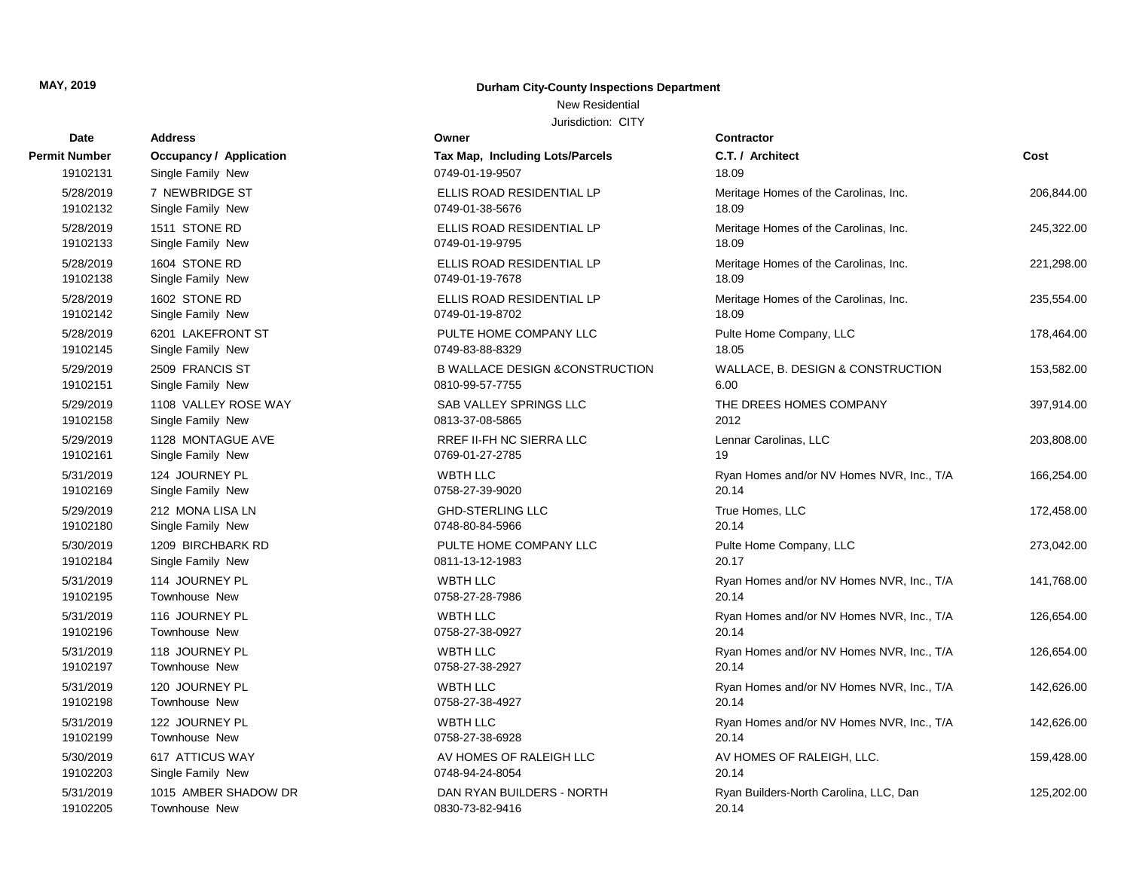## New Residential

| Date          | Address                 | Owner                                     | <b>Contractor</b>                         |            |
|---------------|-------------------------|-------------------------------------------|-------------------------------------------|------------|
| Permit Number | Occupancy / Application | Tax Map, Including Lots/Parcels           | C.T. / Architect                          | Cost       |
| 19102131      | Single Family New       | 0749-01-19-9507                           | 18.09                                     |            |
| 5/28/2019     | 7 NEWBRIDGE ST          | ELLIS ROAD RESIDENTIAL LP                 | Meritage Homes of the Carolinas, Inc.     | 206,844.00 |
| 19102132      | Single Family New       | 0749-01-38-5676                           | 18.09                                     |            |
| 5/28/2019     | 1511 STONE RD           | ELLIS ROAD RESIDENTIAL LP                 | Meritage Homes of the Carolinas, Inc.     | 245,322.00 |
| 19102133      | Single Family New       | 0749-01-19-9795                           | 18.09                                     |            |
| 5/28/2019     | 1604 STONE RD           | ELLIS ROAD RESIDENTIAL LP                 | Meritage Homes of the Carolinas, Inc.     | 221,298.00 |
| 19102138      | Single Family New       | 0749-01-19-7678                           | 18.09                                     |            |
| 5/28/2019     | 1602 STONE RD           | ELLIS ROAD RESIDENTIAL LP                 | Meritage Homes of the Carolinas, Inc.     | 235,554.00 |
| 19102142      | Single Family New       | 0749-01-19-8702                           | 18.09                                     |            |
| 5/28/2019     | 6201 LAKEFRONT ST       | PULTE HOME COMPANY LLC                    | Pulte Home Company, LLC                   | 178,464.00 |
| 19102145      | Single Family New       | 0749-83-88-8329                           | 18.05                                     |            |
| 5/29/2019     | 2509 FRANCIS ST         | <b>B WALLACE DESIGN &amp;CONSTRUCTION</b> | WALLACE, B. DESIGN & CONSTRUCTION         | 153,582.00 |
| 19102151      | Single Family New       | 0810-99-57-7755                           | 6.00                                      |            |
| 5/29/2019     | 1108 VALLEY ROSE WAY    | SAB VALLEY SPRINGS LLC                    | THE DREES HOMES COMPANY                   | 397,914.00 |
| 19102158      | Single Family New       | 0813-37-08-5865                           | 2012                                      |            |
| 5/29/2019     | 1128 MONTAGUE AVE       | RREF II-FH NC SIERRA LLC                  | Lennar Carolinas, LLC                     | 203,808.00 |
| 19102161      | Single Family New       | 0769-01-27-2785                           | 19                                        |            |
| 5/31/2019     | 124 JOURNEY PL          | WBTH LLC                                  | Ryan Homes and/or NV Homes NVR, Inc., T/A | 166,254.00 |
| 19102169      | Single Family New       | 0758-27-39-9020                           | 20.14                                     |            |
| 5/29/2019     | 212 MONA LISA LN        | <b>GHD-STERLING LLC</b>                   | True Homes, LLC                           | 172,458.00 |
| 19102180      | Single Family New       | 0748-80-84-5966                           | 20.14                                     |            |
| 5/30/2019     | 1209 BIRCHBARK RD       | PULTE HOME COMPANY LLC                    | Pulte Home Company, LLC                   | 273,042.00 |
| 19102184      | Single Family New       | 0811-13-12-1983                           | 20.17                                     |            |
| 5/31/2019     | 114 JOURNEY PL          | <b>WBTH LLC</b>                           | Ryan Homes and/or NV Homes NVR, Inc., T/A | 141,768.00 |
| 19102195      | Townhouse New           | 0758-27-28-7986                           | 20.14                                     |            |
| 5/31/2019     | 116 JOURNEY PL          | <b>WBTH LLC</b>                           | Ryan Homes and/or NV Homes NVR, Inc., T/A | 126,654.00 |
| 19102196      | Townhouse New           | 0758-27-38-0927                           | 20.14                                     |            |
| 5/31/2019     | 118 JOURNEY PL          | <b>WBTH LLC</b>                           | Ryan Homes and/or NV Homes NVR, Inc., T/A | 126,654.00 |
| 19102197      | Townhouse New           | 0758-27-38-2927                           | 20.14                                     |            |
| 5/31/2019     | 120 JOURNEY PL          | WBTH LLC                                  | Ryan Homes and/or NV Homes NVR, Inc., T/A | 142,626.00 |
| 19102198      | Townhouse New           | 0758-27-38-4927                           | 20.14                                     |            |
| 5/31/2019     | 122 JOURNEY PL          | WBTH LLC                                  | Ryan Homes and/or NV Homes NVR, Inc., T/A | 142,626.00 |
| 19102199      | Townhouse New           | 0758-27-38-6928                           | 20.14                                     |            |
| 5/30/2019     | 617 ATTICUS WAY         | AV HOMES OF RALEIGH LLC                   | AV HOMES OF RALEIGH, LLC.                 | 159,428.00 |
| 19102203      | Single Family New       | 0748-94-24-8054                           | 20.14                                     |            |
| 5/31/2019     | 1015 AMBER SHADOW DR    | DAN RYAN BUILDERS - NORTH                 | Ryan Builders-North Carolina, LLC, Dan    | 125,202.00 |
| 19102205      | Townhouse New           | 0830-73-82-9416                           | 20.14                                     |            |